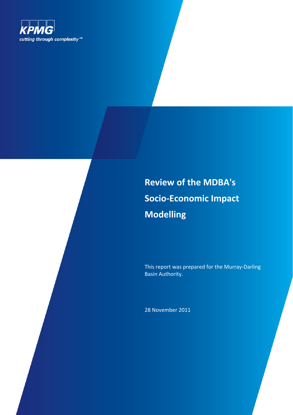

# **Review of the MDBA's Socio-Economic Impact Modelling**

This report was prepared for the Murray-Darling Basin Authority.

28 November 2011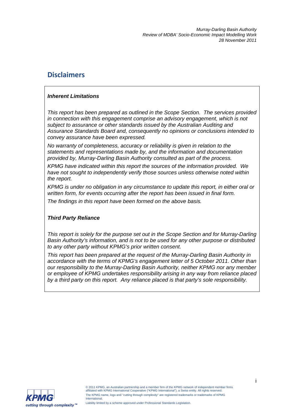# **Disclaimers**

# *Inherent Limitations*

*This report has been prepared as outlined in the Scope Section. The services provided in connection with this engagement comprise an advisory engagement, which is not subject to assurance or other standards issued by the Australian Auditing and Assurance Standards Board and, consequently no opinions or conclusions intended to convey assurance have been expressed.* 

*No warranty of completeness, accuracy or reliability is given in relation to the statements and representations made by, and the information and documentation provided by, Murray-Darling Basin Authority consulted as part of the process.* 

*KPMG have indicated within this report the sources of the information provided. We have not sought to independently verify those sources unless otherwise noted within the report.* 

*KPMG is under no obligation in any circumstance to update this report, in either oral or written form, for events occurring after the report has been issued in final form.* 

*The findings in this report have been formed on the above basis.* 

# *Third Party Reliance*

*This report is solely for the purpose set out in the Scope Section and for Murray-Darling Basin Authority's information, and is not to be used for any other purpose or distributed to any other party without KPMG's prior written consent.* 

*This report has been prepared at the request of the Murray-Darling Basin Authority in accordance with the terms of KPMG's engagement letter of 5 October 2011. Other than our responsibility to the Murray-Darling Basin Authority, neither KPMG nor any member or employee of KPMG undertakes responsibility arising in any way from reliance placed by a third party on this report. Any reliance placed is that party's sole responsibility.* 

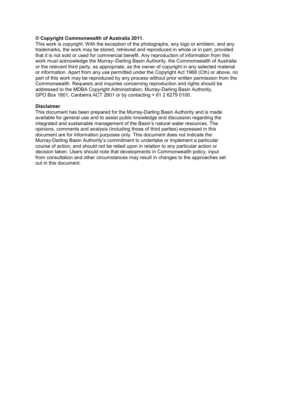#### **© Copyright Commonwealth of Australia 2011.**

This work is copyright. With the exception of the photographs, any logo or emblem, and any trademarks, the work may be stored, retrieved and reproduced in whole or in part, provided that it is not sold or used for commercial benefit. Any reproduction of information from this work must acknowledge the Murray–Darling Basin Authority, the Commonwealth of Australia or the relevant third party, as appropriate, as the owner of copyright in any selected material or information. Apart from any use permitted under the Copyright Act 1968 (Cth) or above, no part of this work may be reproduced by any process without prior written permission from the Commonwealth. Requests and inquiries concerning reproduction and rights should be addressed to the MDBA Copyright Administration, Murray-Darling Basin Authority, GPO Box 1801, Canberra ACT 2601 or by contacting + 61 2 6279 0100.

#### **Disclaimer**

This document has been prepared for the Murray-Darling Basin Authority and is made available for general use and to assist public knowledge and discussion regarding the integrated and sustainable management of the Basin's natural water resources. The opinions, comments and analysis (including those of third parties) expressed in this document are for information purposes only. This document does not indicate the Murray-Darling Basin Authority's commitment to undertake or implement a particular course of action, and should not be relied upon in relation to any particular action or decision taken. Users should note that developments in Commonwealth policy, input from consultation and other circumstances may result in changes to the approaches set out in this document.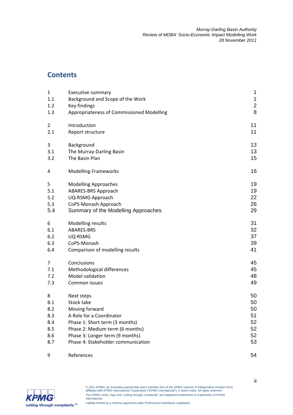# **Contents**

| $\mathbf{1}$   | <b>Executive summary</b>                                              | 1                       |
|----------------|-----------------------------------------------------------------------|-------------------------|
| 1.1            | Background and Scope of the Work                                      | $\mathbf{1}$            |
| 1.2            | Key findings                                                          | $\overline{\mathbf{c}}$ |
| 1.3            | Appropriateness of Commissioned Modelling                             | 8                       |
| $\overline{2}$ | Introduction                                                          | 11                      |
| 2.1            | Report structure                                                      | 11                      |
| 3              | Background                                                            | 13                      |
| 3.1            | The Murray-Darling Basin                                              | 13                      |
| 3.2            | The Basin Plan                                                        | 15                      |
| 4              | <b>Modelling Frameworks</b>                                           | 16                      |
| 5              | <b>Modelling Approaches</b>                                           | 19                      |
| 5.1            | <b>ABARES-BRS Approach</b>                                            | 19                      |
| 5.2            | UQ-RSMG Approach                                                      | 22                      |
| 5.3            | CoPS-Monash Approach                                                  | 26                      |
| 5.4            | Summary of the Modelling Approaches                                   | 29                      |
| 6              | Modelling results                                                     | 31                      |
| 6.1            | ABARES-BRS                                                            | 32                      |
| 6.2            | UQ-RSMG                                                               | 37                      |
| 6.3            | CoPS-Monash                                                           | 39                      |
| 6.4            | Comparison of modelling results                                       | 41                      |
| 7              | Conclusions                                                           | 45                      |
| 7.1            | Methodological differences                                            | 45                      |
| 7.2            | Model validation                                                      | 48                      |
| 7.3            | Common issues                                                         | 49                      |
| 8              | Next steps                                                            | 50                      |
| 8.1            | Stock take                                                            | 50                      |
| 8.2            | Moving forward                                                        | 50                      |
| 8.3            | A Role for a Coordinator                                              | 51                      |
| 8.4            | Phase 1: Short term (3 months)                                        | 52                      |
| 8.5            | Phase 2: Medium term (6 months)                                       | 52                      |
| 8.6            | Phase 3: Longer term (9 months)<br>Phase 4: Stakeholder communication | 52<br>53                |
| 8.7            |                                                                       |                         |
| 9              | References                                                            | 54                      |

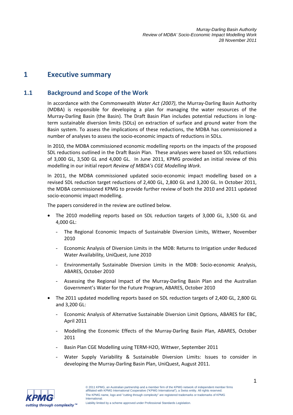# **1 Executive summary**

# **1.1 Background and Scope of the Work**

In accordance with the Commonwealth *Water Act (2007)*, the Murray-Darling Basin Authority (MDBA) is responsible for developing a plan for managing the water resources of the Murray-Darling Basin (the Basin). The Draft Basin Plan includes potential reductions in longterm sustainable diversion limits (SDLs) on extraction of surface and ground water from the Basin system. To assess the implications of these reductions, the MDBA has commissioned a number of analyses to assess the socio-economic impacts of reductions in SDLs.

In 2010, the MDBA commissioned economic modelling reports on the impacts of the proposed SDL reductions outlined in the Draft Basin Plan. These analyses were based on SDL reductions of 3,000 GL, 3,500 GL and 4,000 GL. In June 2011, KPMG provided an initial review of this modelling in our initial report *Review of MBDA's CGE Modelling Work*.

In 2011, the MDBA commissioned updated socio-economic impact modelling based on a revised SDL reduction target reductions of 2,400 GL, 2,800 GL and 3,200 GL. In October 2011, the MDBA commissioned KPMG to provide further review of both the 2010 and 2011 updated socio-economic impact modelling.

The papers considered in the review are outlined below.

- The 2010 modelling reports based on SDL reduction targets of 3,000 GL, 3,500 GL and 4,000 GL:
	- The Regional Economic Impacts of Sustainable Diversion Limits, Wittwer, November 2010
	- Economic Analysis of Diversion Limits in the MDB: Returns to Irrigation under Reduced Water Availability, UniQuest, June 2010
	- Environmentally Sustainable Diversion Limits in the MDB: Socio-economic Analysis, ABARES, October 2010
	- Assessing the Regional Impact of the Murray-Darling Basin Plan and the Australian Government's Water for the Future Program, ABARES, October 2010
- The 2011 updated modelling reports based on SDL reduction targets of 2,400 GL, 2,800 GL and 3,200 GL:
	- Economic Analysis of Alternative Sustainable Diversion Limit Options, ABARES for EBC, April 2011
	- Modelling the Economic Effects of the Murray-Darling Basin Plan, ABARES, October 2011
	- Basin Plan CGE Modelling using TERM-H2O, Wittwer, September 2011
	- Water Supply Variability & Sustainable Diversion Limits: Issues to consider in developing the Murray-Darling Basin Plan, UniQuest, August 2011.

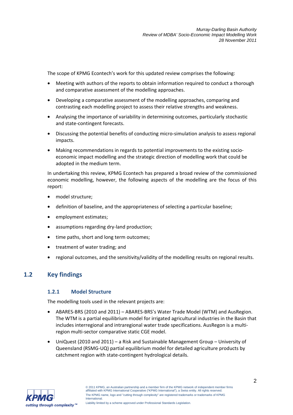The scope of KPMG Econtech's work for this updated review comprises the following:

- Meeting with authors of the reports to obtain information required to conduct a thorough and comparative assessment of the modelling approaches.
- Developing a comparative assessment of the modelling approaches, comparing and contrasting each modelling project to assess their relative strengths and weakness.
- Analysing the importance of variability in determining outcomes, particularly stochastic and state-contingent forecasts.
- Discussing the potential benefits of conducting micro-simulation analysis to assess regional impacts.
- Making recommendations in regards to potential improvements to the existing socioeconomic impact modelling and the strategic direction of modelling work that could be adopted in the medium term.

In undertaking this review, KPMG Econtech has prepared a broad review of the commissioned economic modelling, however, the following aspects of the modelling are the focus of this report:

- model structure;
- definition of baseline, and the appropriateness of selecting a particular baseline;
- employment estimates;
- assumptions regarding dry-land production;
- time paths, short and long term outcomes;
- treatment of water trading; and
- regional outcomes, and the sensitivity/validity of the modelling results on regional results.

# **1.2 Key findings**

# **1.2.1 Model Structure**

The modelling tools used in the relevant projects are:

- ABARES-BRS (2010 and 2011) ABARES-BRS's Water Trade Model (WTM) and AusRegion. The WTM is a partial equilibrium model for irrigated agricultural industries in the Basin that includes interregional and intraregional water trade specifications. AusRegon is a multiregion multi-sector comparative static CGE model.
- UniQuest (2010 and 2011) a Risk and Sustainable Management Group University of Queensland (RSMG-UQ) partial equilibrium model for detailed agriculture products by catchment region with state-contingent hydrological details.

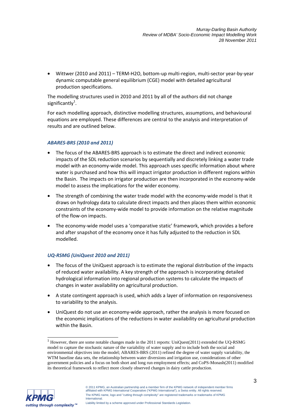• Wittwer (2010 and 2011) – TERM-H2O, bottom-up multi-region, multi-sector year-by-year dynamic computable general equilibrium (CGE) model with detailed agricultural production specifications.

The modelling structures used in 2010 and 2011 by all of the authors did not change significantly<sup>1</sup>.

For each modelling approach, distinctive modelling structures, assumptions, and behavioural equations are employed. These differences are central to the analysis and interpretation of results and are outlined below.

### *ABARES-BRS (2010 and 2011)*

- The focus of the ABARES-BRS approach is to estimate the direct and indirect economic impacts of the SDL reduction scenarios by sequentially and discretely linking a water trade model with an economy-wide model. This approach uses specific information about where water is purchased and how this will impact irrigator production in different regions within the Basin. The impacts on irrigator production are then incorporated in the economy-wide model to assess the implications for the wider economy.
- The strength of combining the water trade model with the economy-wide model is that it draws on hydrology data to calculate direct impacts and then places them within economic constraints of the economy-wide model to provide information on the relative magnitude of the flow-on impacts.
- The economy-wide model uses a 'comparative static' framework, which provides a before and after snapshot of the economy once it has fully adjusted to the reduction in SDL modelled.

# *UQ-RSMG (UniQuest 2010 and 2011)*

- The focus of the UniQuest approach is to estimate the regional distribution of the impacts of reduced water availability. A key strength of the approach is incorporating detailed hydrological information into regional production systems to calculate the impacts of changes in water availability on agricultural production.
- A state contingent approach is used, which adds a layer of information on responsiveness to variability to the analysis.
- UniQuest do not use an economy-wide approach, rather the analysis is more focused on the economic implications of the reductions in water availability on agricultural production within the Basin.

<sup>1</sup> However, there are some notable changes made in the 2011 reports: UniQuest(2011) extended the UQ-RSMG model to capture the stochastic nature of the variability of water supply and to include both the social and environmental objectives into the model; ABARES-BRS (2011) refined the degree of water supply variability, the WTM baseline data sets, the relationship between water diversions and irrigation use, considerations of other government policies and a focus on both short and long run employment effects; and CoPS-Monash(2011) modified its theoretical framework to reflect more closely observed changes in dairy cattle production.



 $\overline{1}$ 

<sup>© 2011</sup> KPMG, an Australian partnership and a member firm of the KPMG network of independent member firms affiliated with KPMG International Cooperative ("KPMG International"), a Swiss entity. All rights reserved. The KPMG name, logo and "cutting through complexity" are registered trademarks or trademarks of KPMG **International**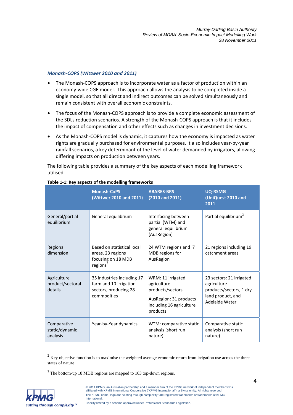#### *Monash-COPS (Wittwer 2010 and 2011)*

- The Monash-COPS approach is to incorporate water as a factor of production within an economy-wide CGE model. This approach allows the analysis to be completed inside a single model, so that all direct and indirect outcomes can be solved simultaneously and remain consistent with overall economic constraints.
- The focus of the Monash-COPS approach is to provide a complete economic assessment of the SDLs reduction scenarios. A strength of the Monash-COPS approach is that it includes the impact of compensation and other effects such as changes in investment decisions.
- As the Monash-COPS model is dynamic, it captures how the economy is impacted as water rights are gradually purchased for environmental purposes. It also includes year-by-year rainfall scenarios, a key determinant of the level of water demanded by irrigators, allowing differing impacts on production between years.

The following table provides a summary of the key aspects of each modelling framework utilised.

|                                            | <b>Monash-CoPS</b><br>(Wittwer 2010 and 2011)                                                 | <b>ABARES-BRS</b><br>$(2010$ and $2011)$                                                                               | <b>UQ-RSMG</b><br>(UniQuest 2010 and<br>2011                                                              |
|--------------------------------------------|-----------------------------------------------------------------------------------------------|------------------------------------------------------------------------------------------------------------------------|-----------------------------------------------------------------------------------------------------------|
| General/partial<br>equilibrium             | General equilibrium                                                                           | Interfacing between<br>partial (WTM) and<br>general equilibrium<br>(AusRegion)                                         | Partial equilibrium <sup>2</sup>                                                                          |
| Regional<br>dimension                      | Based on statistical local<br>areas, 23 regions<br>focusing on 18 MDB<br>regions <sup>3</sup> | 24 WTM regions and 7<br>MDB regions for<br>AusRegion                                                                   | 21 regions including 19<br>catchment areas                                                                |
| Agriculture<br>product/sectoral<br>details | 35 industries including 17<br>farm and 10 irrigation<br>sectors, producing 28<br>commodities  | WRM: 11 irrigated<br>agriculture<br>products/sectors<br>AusRegion: 31 products<br>including 16 agriculture<br>products | 23 sectors: 21 irrigated<br>agriculture<br>products/sectors, 1 dry<br>land product, and<br>Adelaide Water |
| Comparative<br>static/dynamic<br>analysis  | Year-by-Year dynamics                                                                         | WTM: comparative static<br>analysis (short run<br>nature)                                                              | Comparative static<br>analysis (short run<br>nature)                                                      |

#### **Table 1-1: Key aspects of the modelling frameworks**

<sup>3</sup> The bottom-up 18 MDB regions are mapped to 163 top-down regions.



-

 $2$  Key objective function is to maximise the weighted average economic return from irrigation use across the three states of nature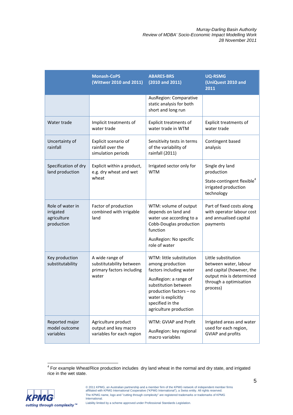|                                                            | <b>Monash-CoPS</b><br>(Wittwer 2010 and 2011)                                     | <b>ABARES-BRS</b><br>$(2010$ and $2011)$                                                                                                                                                                                 | <b>UQ-RSMG</b><br>(UniQuest 2010 and<br>2011                                                                                                |
|------------------------------------------------------------|-----------------------------------------------------------------------------------|--------------------------------------------------------------------------------------------------------------------------------------------------------------------------------------------------------------------------|---------------------------------------------------------------------------------------------------------------------------------------------|
|                                                            |                                                                                   | AusRegion: Comparative<br>static analysis for both<br>short and long run                                                                                                                                                 |                                                                                                                                             |
| Water trade                                                | Implicit treatments of<br>water trade                                             | <b>Explicit treatments of</b><br>water trade in WTM                                                                                                                                                                      | Explicit treatments of<br>water trade                                                                                                       |
| Uncertainty of<br>rainfall                                 | Explicit scenario of<br>rainfall over the<br>simulation periods                   | Sensitivity tests in terms<br>of the variability of<br>rainfall (2011)                                                                                                                                                   | Contingent based<br>analysis                                                                                                                |
| Specification of dry<br>land production                    | Explicit within a product,<br>e.g. dry wheat and wet                              | Irrigated sector only for<br><b>WTM</b>                                                                                                                                                                                  | Single dry land<br>production                                                                                                               |
|                                                            | wheat                                                                             |                                                                                                                                                                                                                          | State-contingent flexible <sup>4</sup><br>irrigated production<br>technology                                                                |
| Role of water in<br>irrigated<br>agriculture<br>production | Factor of production<br>combined with irrigable<br>land                           | WTM: volume of output<br>depends on land and<br>water use according to a<br>Cobb-Douglas production<br>function<br>AusRegion: No specific<br>role of water                                                               | Part of fixed costs along<br>with operator labour cost<br>and annualised capital<br>payments                                                |
| Key production<br>substitutability                         | A wide range of<br>substitutability between<br>primary factors including<br>water | WTM: little substitution<br>among production<br>factors including water<br>AusRegion: a range of<br>substitution between<br>production factors - no<br>water is explicitly<br>specified in the<br>agriculture production | Little substitution<br>between water, labour<br>and capital (however, the<br>output mix is determined<br>through a optimisation<br>process) |
| Reported major<br>model outcome<br>variables               | Agriculture product<br>output and key macro<br>variables for each region          | WTM: GVIAP and Profit<br>AusRegion: key regional<br>macro variables                                                                                                                                                      | Irrigated areas and water<br>used for each region,<br><b>GVIAP and profits</b>                                                              |

 4 For example Wheat/Rice production includes dry land wheat in the normal and dry state, and irrigated rice in the wet state.

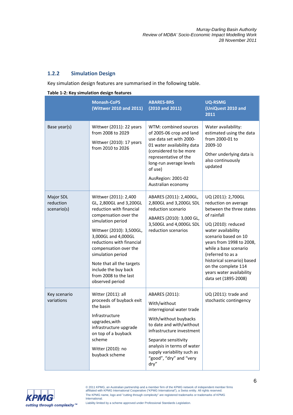# **1.2.2 Simulation Design**

Key simulation design features are summarised in the following table.

|                                       | <b>Monash-CoPS</b><br>(Wittwer 2010 and 2011)                                                                                                                                                                                                                                                                                                             | <b>ABARES-BRS</b><br>$(2010$ and $2011)$                                                                                                                                                                                                                             | <b>UQ-RSMG</b><br>(UniQuest 2010 and<br>2011                                                                                                                                                                                                                                                                                                 |
|---------------------------------------|-----------------------------------------------------------------------------------------------------------------------------------------------------------------------------------------------------------------------------------------------------------------------------------------------------------------------------------------------------------|----------------------------------------------------------------------------------------------------------------------------------------------------------------------------------------------------------------------------------------------------------------------|----------------------------------------------------------------------------------------------------------------------------------------------------------------------------------------------------------------------------------------------------------------------------------------------------------------------------------------------|
| Base year(s)                          | Wittwer (2011): 22 years<br>from 2008 to 2029<br>Wittwer (2010): 17 years<br>from 2010 to 2026                                                                                                                                                                                                                                                            | WTM: combined sources<br>of 2005-06 crop and land<br>use data set with 2000-<br>01 water availability data<br>(considered to be more<br>representative of the<br>long-run average levels<br>of use)<br>AusRegion: 2001-02<br>Australian economy                      | Water availability:<br>estimated using the data<br>from 2000-01 to<br>2009-10<br>Other underlying data is<br>also continuously<br>updated                                                                                                                                                                                                    |
| Major SDL<br>reduction<br>scenario(s) | Wittwer (2011): 2,400<br>GL, 2,800GL and 3,200GL<br>reduction with financial<br>compensation over the<br>simulation period<br>Wittwer (2010): 3,500GL,<br>3,000GL and 4,000GL<br>reductions with financial<br>compensation over the<br>simulation period<br>Note that all the targets<br>include the buy back<br>from 2008 to the last<br>observed period | ABARES (2011): 2,400GL,<br>2,800GL and 3,200GL SDL<br>reduction scenario<br>ABARES (2010): 3,000 GL,<br>3,500GL and 4,000GL SDL<br>reduction scenarios                                                                                                               | UQ (2011): 2,700GL<br>reduction on average<br>between the three states<br>of rainfall<br>UQ (2010): reduced<br>water availability<br>scenario based on 10<br>years from 1998 to 2008,<br>while a base scenario<br>(referred to as a<br>historical scenario) based<br>on the complete 114<br>years water availability<br>data set (1895-2008) |
| Key scenario<br>variations            | Witter (2011): all<br>proceeds of buyback exit<br>the basin<br>Infrastructure<br>upgrades, with<br>infrastructure upgrade<br>on top of a buyback<br>scheme<br>Witter (2010): no<br>buyback scheme                                                                                                                                                         | ABARES (2011):<br>With/without<br>interregional water trade<br>With/without buybacks<br>to date and with/without<br>infrastructure investment<br>Separate sensitivity<br>analysis in terms of water<br>supply variability such as<br>"good", "dry" and "very<br>dry" | UQ (2011): trade and<br>stochastic contingency                                                                                                                                                                                                                                                                                               |

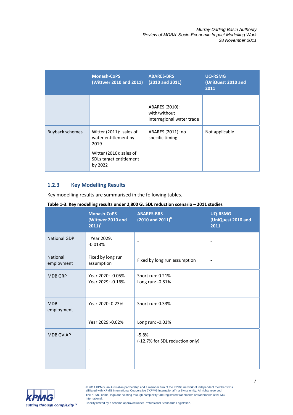|                        | <b>Monash-CoPS</b><br>(Wittwer 2010 and 2011)                                                                            | <b>ABARES-BRS</b><br>$(2010$ and $2011)$                    | <b>UQ-RSMG</b><br>(UniQuest 2010 and<br>2011 |
|------------------------|--------------------------------------------------------------------------------------------------------------------------|-------------------------------------------------------------|----------------------------------------------|
|                        |                                                                                                                          | ABARES (2010):<br>with/without<br>interregional water trade |                                              |
| <b>Buyback schemes</b> | Witter (2011): sales of<br>water entitlement by<br>2019<br>Witter (2010): sales of<br>SDLs target entitlement<br>by 2022 | ABARES (2011): no<br>specific timing                        | Not applicable                               |

# **1.2.3 Key Modelling Results**

Key modelling results are summarised in the following tables.

|                               | <b>Monash-CoPS</b><br>(Wittwer 2010 and<br>$2011)^a$ | <b>ABARES-BRS</b><br>$(2010$ and $2011)^{b}$ | <b>UQ-RSMG</b><br>(UniQuest 2010 and<br>2011 |
|-------------------------------|------------------------------------------------------|----------------------------------------------|----------------------------------------------|
| <b>National GDP</b>           | Year 2029:<br>$-0.013%$                              | $\overline{\phantom{a}}$                     |                                              |
| <b>National</b><br>employment | Fixed by long run<br>assumption                      | Fixed by long run assumption                 |                                              |
| <b>MDB GRP</b>                | Year 2020: -0.05%<br>Year 2029: -0.16%               | Short run: 0.21%<br>Long run: -0.81%         |                                              |
| <b>MDB</b><br>employment      | Year 2020: 0.23%                                     | Short run: 0.33%                             |                                              |
|                               | Year 2029:-0.02%                                     | Long run: -0.03%                             |                                              |
| <b>MDB GVIAP</b>              |                                                      | $-5.8%$<br>(-12.7% for SDL reduction only)   |                                              |

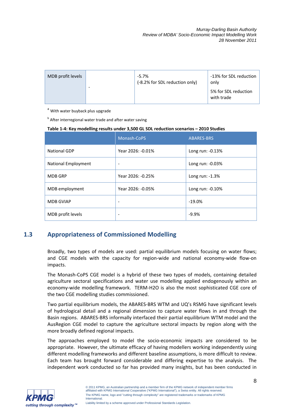| MDB profit levels |   | $-5.7\%$<br>(-8.2% for SDL reduction only) | -13% for SDL reduction<br>only     |
|-------------------|---|--------------------------------------------|------------------------------------|
|                   | - |                                            | 5% for SDL reduction<br>with trade |

<sup>a</sup> With water buyback plus upgrade

**b** After interregional water trade and after water saving

#### **Table 1-4: Key modelling results under 3,500 GL SDL reduction scenarios – 2010 Studies**

|                            | Monash-CoPS       | <b>ABARES-BRS</b> |
|----------------------------|-------------------|-------------------|
| <b>National GDP</b>        | Year 2026: -0.01% | Long run: -0.13%  |
| <b>National Employment</b> |                   | Long run: -0.03%  |
| <b>MDB GRP</b>             | Year 2026: -0.25% | Long run: $-1.3%$ |
| MDB employment             | Year 2026: -0.05% | Long run: -0.10%  |
| <b>MDB GVIAP</b>           |                   | $-19.0%$          |
| MDB profit levels          |                   | $-9.9%$           |

# **1.3 Appropriateness of Commissioned Modelling**

Broadly, two types of models are used: partial equilibrium models focusing on water flows; and CGE models with the capacity for region-wide and national economy-wide flow-on impacts.

The Monash-CoPS CGE model is a hybrid of these two types of models, containing detailed agriculture sectoral specifications and water use modelling applied endogenously within an economy-wide modelling framework. TERM-H2O is also the most sophisticated CGE core of the two CGE modelling studies commissioned.

Two partial equilibrium models, the ABARES-BRS WTM and UQ's RSMG have significant levels of hydrological detail and a regional dimension to capture water flows in and through the Basin regions. ABARES-BRS informally interfaced their partial equilibrium WTM model and the AusRegion CGE model to capture the agriculture sectoral impacts by region along with the more broadly defined regional impacts.

The approaches employed to model the socio-economic impacts are considered to be appropriate. However, the ultimate efficacy of having modellers working independently using different modelling frameworks and different baseline assumptions, is more difficult to review. Each team has brought forward considerable and differing expertise to the analysis. The independent work conducted so far has provided many insights, but has been conducted in

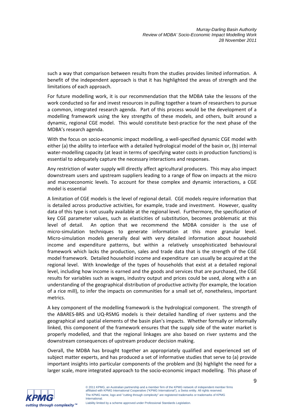such a way that comparison between results from the studies provides limited information. A benefit of the independent approach is that it has highlighted the areas of strength and the limitations of each approach.

For future modelling work, it is our recommendation that the MDBA take the lessons of the work conducted so far and invest resources in pulling together a team of researchers to pursue a common, integrated research agenda. Part of this process would be the development of a modelling framework using the key strengths of these models, and others, built around a dynamic, regional CGE model. This would constitute best-practice for the next phase of the MDBA's research agenda.

With the focus on socio-economic impact modelling, a well-specified dynamic CGE model with either (a) the ability to interface with a detailed hydrological model of the basin or, (b) internal water-modelling capacity (at least in terms of specifying water costs in production functions) is essential to adequately capture the necessary interactions and responses.

Any restriction of water supply will directly affect agricultural producers. This may also impact downstream users and upstream suppliers leading to a range of flow on impacts at the micro and macroeconomic levels. To account for these complex and dynamic interactions, a CGE model is essential

A limitation of CGE models is the level of regional detail. CGE models require information that is detailed across productive activities, for example, trade and investment. However, quality data of this type is not usually available at the regional level. Furthermore, the specification of key CGE parameter values, such as elasticities of substitution, becomes problematic at this level of detail. An option that we recommend the MDBA consider is the use of micro-simulation techniques to generate information at this more granular level. Micro-simulation models generally deal with very detailed information about household income and expenditure patterns, but within a relatively unsophisticated behavioural framework which lacks the production, sales and trade data that is the strength of the CGE model framework. Detailed household income and expenditure can usually be acquired at the regional level. With knowledge of the types of households that exist at a detailed regional level, including how income is earned and the goods and services that are purchased, the CGE results for variables such as wages, industry output and prices could be used, along with a an understanding of the geographical distribution of productive activity (for example, the location of a rice mill), to infer the impacts on communities for a small set of, nonetheless, important metrics.

A key component of the modelling framework is the hydrological component. The strength of the ABARES-BRS and UQ-RSMG models is their detailed handling of river systems and the geographical and spatial elements of the basin plan's impacts. Whether formally or informally linked, this component of the framework ensures that the supply side of the water market is properly modelled, and that the regional linkages are also based on river systems and the downstream consequences of upstream producer decision making.

Overall, the MDBA has brought together an appropriately qualified and experienced set of subject matter experts, and has produced a set of informative studies that serve to (a) provide important insights into particular components of the problem and (b) highlight the need for a larger scale, more integrated approach to the socio-economic impact modelling. This phase of

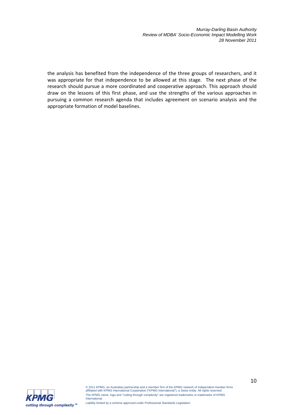the analysis has benefited from the independence of the three groups of researchers, and it was appropriate for that independence to be allowed at this stage. The next phase of the research should pursue a more coordinated and cooperative approach. This approach should draw on the lessons of this first phase, and use the strengths of the various approaches in pursuing a common research agenda that includes agreement on scenario analysis and the appropriate formation of model baselines.



© 2011 KPMG, an Australian partnership and a member firm of the KPMG network of independent member firms affiliated with KPMG International Cooperative ("KPMG International"), a Swiss entity. All rights reserved. The KPMG name, logo and "cutting through complexity" are registered trademarks or trademarks of KPMG **International**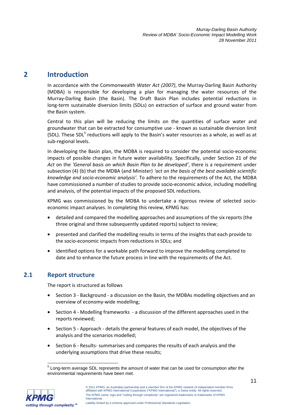# **2 Introduction**

In accordance with the Commonwealth *Water Act (2007)*, the Murray-Darling Basin Authority (MDBA) is responsible for developing a plan for managing the water resources of the Murray-Darling Basin (the Basin). The Draft Basin Plan includes potential reductions in long-term sustainable diversion limits (SDLs) on extraction of surface and ground water from the Basin system.

Central to this plan will be reducing the limits on the quantities of surface water and groundwater that can be extracted for consumptive use - known as sustainable diversion limit (SDL). These SDL<sup>5</sup> reductions will apply to the Basin's water resources as a whole, as well as at sub-regional levels.

In developing the Basin plan, the MDBA is required to consider the potential socio-economic impacts of possible changes in future water availability. Specifically, under Section 21 of *the Act* on the *'General basis on which Basin Plan to be developed'*, there is a requirement under subsection (4) (b) that the MDBA (and Minister) *'act on the basis of the best available scientific knowledge and socio-economic analysis'.* To adhere to the requirements of the Act, the MDBA have commissioned a number of studies to provide socio-economic advice, including modelling and analysis, of the potential impacts of the proposed SDL reductions.

KPMG was commissioned by the MDBA to undertake a rigorous review of selected socioeconomic impact analyses. In completing this review, KPMG has:

- detailed and compared the modelling approaches and assumptions of the six reports (the three original and three subsequently updated reports) subject to review;
- presented and clarified the modelling results in terms of the insights that each provide to the socio-economic impacts from reductions in SDLs; and
- identified options for a workable path forward to improve the modelling completed to date and to enhance the future process in line with the requirements of the Act.

# **2.1 Report structure**

The report is structured as follows

- Section 3 Background a discussion on the Basin, the MDBAs modelling objectives and an overview of economy-wide modelling;
- Section 4 Modelling frameworks a discussion of the different approaches used in the reports reviewed;
- Section 5 Approach details the general features of each model, the objectives of the analysis and the scenarios modelled;
- Section 6 Results- summarises and compares the results of each analysis and the underlying assumptions that drive these results;

 5 Long-term average SDL represents the amount of water that can be used for consumption after the environmental requirements have been met.



<sup>© 2011</sup> KPMG, an Australian partnership and a member firm of the KPMG network of independent member firms affiliated with KPMG International Cooperative ("KPMG International"), a Swiss entity. All rights reserved. The KPMG name, logo and "cutting through complexity" are registered trademarks or trademarks of KPMG International.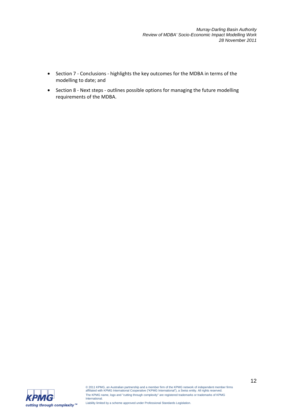- Section 7 Conclusions highlights the key outcomes for the MDBA in terms of the modelling to date; and
- Section 8 Next steps outlines possible options for managing the future modelling requirements of the MDBA.

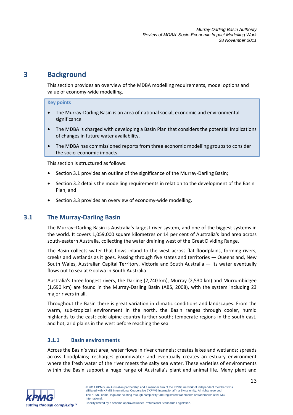# **3 Background**

This section provides an overview of the MDBA modelling requirements, model options and value of economy-wide modelling.

#### **Key points**

- The Murray-Darling Basin is an area of national social, economic and environmental significance.
- The MDBA is charged with developing a Basin Plan that considers the potential implications of changes in future water availability.
- The MDBA has commissioned reports from three economic modelling groups to consider the socio-economic impacts.

This section is structured as follows:

- Section 3.1 provides an outline of the significance of the Murray-Darling Basin;
- Section 3.2 details the modelling requirements in relation to the development of the Basin Plan; and
- Section 3.3 provides an overview of economy-wide modelling.

# **3.1 The Murray-Darling Basin**

The Murray–Darling Basin is Australia's largest river system, and one of the biggest systems in the world. It covers 1,059,000 square kilometres or 14 per cent of Australia's land area across south-eastern Australia, collecting the water draining west of the Great Dividing Range.

The Basin collects water that flows inland to the west across flat floodplains, forming rivers, creeks and wetlands as it goes. Passing through five states and territories — Queensland, New South Wales, Australian Capital Territory, Victoria and South Australia — its water eventually flows out to sea at Goolwa in South Australia.

Australia's three longest rivers, the Darling (2,740 km), Murray (2,530 km) and Murrumbidgee (1,690 km) are found in the Murray-Darling Basin (ABS, 2008), with the system including 23 major rivers in all.

Throughout the Basin there is great variation in climatic conditions and landscapes. From the warm, sub-tropical environment in the north, the Basin ranges through cooler, humid highlands to the east; cold alpine country further south; temperate regions in the south-east, and hot, arid plains in the west before reaching the sea.

# **3.1.1 Basin environments**

Across the Basin's vast area, water flows in river channels; creates lakes and wetlands; spreads across floodplains; recharges groundwater and eventually creates an estuary environment where the fresh water of the river meets the salty sea water. These varieties of environments within the Basin support a huge range of Australia's plant and animal life. Many plant and

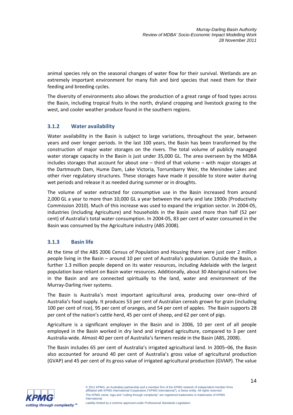animal species rely on the seasonal changes of water flow for their survival. Wetlands are an extremely important environment for many fish and bird species that need them for their feeding and breeding cycles.

The diversity of environments also allows the production of a great range of food types across the Basin, including tropical fruits in the north, dryland cropping and livestock grazing to the west, and cooler weather produce found in the southern regions.

# **3.1.2 Water availability**

Water availability in the Basin is subject to large variations, throughout the year, between years and over longer periods. In the last 100 years, the Basin has been transformed by the construction of major water storages on the rivers. The total volume of publicly managed water storage capacity in the Basin is just under 35,000 GL. The area overseen by the MDBA includes storages that account for about one – third of that volume – with major storages at the Dartmouth Dam, Hume Dam, Lake Victoria, Torrumbarry Weir, the Menindee Lakes and other river regulatory structures. These storages have made it possible to store water during wet periods and release it as needed during summer or in droughts.

The volume of water extracted for consumptive use in the Basin increased from around 2,000 GL a year to more than 10,000 GL a year between the early and late 1900s (Productivity Commission 2010). Much of this increase was used to expand the irrigation sector. In 2004-05, industries (including Agriculture) and households in the Basin used more than half (52 per cent) of Australia's total water consumption. In 2004-05, 83 per cent of water consumed in the Basin was consumed by the Agriculture industry (ABS 2008).

# **3.1.3 Basin life**

At the time of the ABS 2006 Census of Population and Housing there were just over 2 million people living in the Basin – around 10 per cent of Australia's population. Outside the Basin, a further 1.3 million people depend on its water resources, including Adelaide with the largest population base reliant on Basin water resources. Additionally, about 30 Aboriginal nations live in the Basin and are connected spiritually to the land, water and environment of the Murray-Darling river systems.

The Basin is Australia's most important agricultural area, producing over one–third of Australia's food supply. It produces 53 per cent of Australian cereals grown for grain (including 100 per cent of rice), 95 per cent of oranges, and 54 per cent of apples. The Basin supports 28 per cent of the nation's cattle herd, 45 per cent of sheep, and 62 per cent of pigs.

Agriculture is a significant employer in the Basin and in 2006, 10 per cent of all people employed in the Basin worked in dry land and irrigated agriculture, compared to 3 per cent Australia-wide. Almost 40 per cent of Australia's farmers reside in the Basin (ABS, 2008).

The Basin includes 65 per cent of Australia's irrigated agricultural land. In 2005–06, the Basin also accounted for around 40 per cent of Australia's gross value of agricultural production (GVAP) and 45 per cent of its gross value of irrigated agricultural production (GVIAP). The value

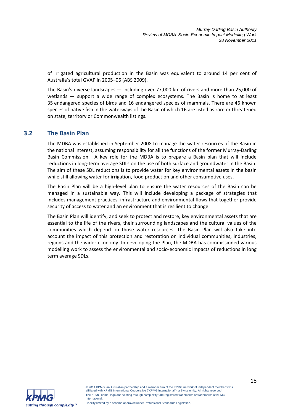of irrigated agricultural production in the Basin was equivalent to around 14 per cent of Australia's total GVAP in 2005–06 (ABS 2009).

The Basin's diverse landscapes — including over 77,000 km of rivers and more than 25,000 of wetlands — support a wide range of complex ecosystems. The Basin is home to at least 35 endangered species of birds and 16 endangered species of mammals. There are 46 known species of native fish in the waterways of the Basin of which 16 are listed as rare or threatened on state, territory or Commonwealth listings.

# **3.2 The Basin Plan**

The MDBA was established in September 2008 to manage the water resources of the Basin in the national interest, assuming responsibility for all the functions of the former Murray-Darling Basin Commission. A key role for the MDBA is to prepare a Basin plan that will include reductions in long-term average SDLs on the use of both surface and groundwater in the Basin. The aim of these SDL reductions is to provide water for key environmental assets in the basin while still allowing water for irrigation, food production and other consumptive uses.

The Basin Plan will be a high-level plan to ensure the water resources of the Basin can be managed in a sustainable way. This will include developing a package of strategies that includes management practices, infrastructure and environmental flows that together provide security of access to water and an environment that is resilient to change.

The Basin Plan will identify, and seek to protect and restore, key environmental assets that are essential to the life of the rivers, their surrounding landscapes and the cultural values of the communities which depend on those water resources. The Basin Plan will also take into account the impact of this protection and restoration on individual communities, industries, regions and the wider economy. In developing the Plan, the MDBA has commissioned various modelling work to assess the environmental and socio-economic impacts of reductions in long term average SDLs.

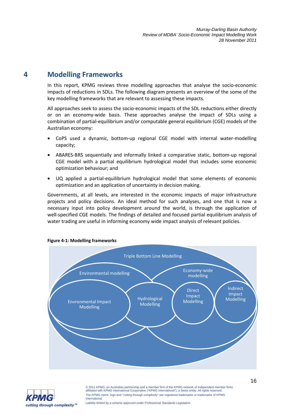# **4 Modelling Frameworks**

In this report, KPMG reviews three modelling approaches that analyse the socio-economic impacts of reductions in SDLs. The following diagram presents an overview of the some of the key modelling frameworks that are relevant to assessing these impacts.

All approaches seek to assess the socio-economic impacts of the SDL reductions either directly or on an economy-wide basis. These approaches analyse the impact of SDLs using a combination of partial-equilibrium and/or computable general equilibrium (CGE) models of the Australian economy:

- CoPS used a dynamic, bottom-up regional CGE model with internal water-modelling capacity;
- ABARES-BRS sequentially and informally linked a comparative static, bottom-up regional CGE model with a partial equilibrium hydrological model that includes some economic optimization behaviour; and
- UQ applied a partial-equilibrium hydrological model that some elements of economic optimization and an application of uncertainty in decision making.

Governments, at all levels, are interested in the economic impacts of major infrastructure projects and policy decisions. An ideal method for such analyses, and one that is now a necessary input into policy development around the world, is through the application of well-specified CGE models. The findings of detailed and focused partial equilibrium analysis of water trading are useful in informing economy wide impact analysis of relevant policies.



#### **Figure 4-1: Modelling frameworks**

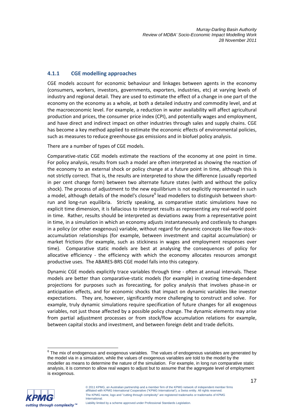# **4.1.1 CGE modelling approaches**

CGE models account for economic behaviour and linkages between agents in the economy (consumers, workers, investors, governments, exporters, industries, etc) at varying levels of industry and regional detail. They are used to estimate the effect of a change in one part of the economy on the economy as a whole, at both a detailed industry and commodity level, and at the macroeconomic level. For example, a reduction in water availability will affect agricultural production and prices, the consumer price index (CPI), and potentially wages and employment, and have direct and indirect impact on other industries through sales and supply chains. CGE has become a key method applied to estimate the economic effects of environmental policies, such as measures to reduce greenhouse gas emissions and in biofuel policy analysis.

There are a number of types of CGE models.

Comparative-static CGE models estimate the reactions of the economy at one point in time. For policy analysis, results from such a model are often interpreted as showing the reaction of the economy to an external shock or policy change at a future point in time, although this is not strictly correct. That is, the results are interpreted to show the difference (usually reported in per cent change form) between two alternate future states (with and without the policy shock). The process of adjustment to the new equilibrium is not explicitly represented in such a model, although details of the model's closure<sup>6</sup> lead modellers to distinguish between shortrun and long-run equilibria. Strictly speaking, as comparative static simulations have no explicit time dimension, it is fallacious to interpret results as representing any real-world point in time. Rather, results should be interpreted as deviations away from a representative point in time, in a simulation in which an economy adjusts instantaneously and costlessly to changes in a policy (or other exogenous) variable, without regard for dynamic concepts like flow-stockaccumulation relationships (for example, between investment and capital accumulation) or market frictions (for example, such as stickiness in wages and employment responses over time). Comparative static models are best at analysing the consequences of policy for allocative efficiency - the efficiency with which the economy allocates resources amongst productive uses. The ABARES-BRS CGE model falls into this category.

Dynamic CGE models explicitly trace variables through time - often at annual intervals. These models are better than comparative-static models (for example) in creating time-dependent projections for purposes such as forecasting, for policy analysis that involves phase-in or anticipation effects, and for economic shocks that impact on dynamic variables like investor expectations. They are, however, significantly more challenging to construct and solve. For example, truly dynamic simulations require specification of future changes for all exogenous variables, not just those affected by a possible policy change. The dynamic elements may arise from partial adjustment processes or from stock/flow accumulation relations for example, between capital stocks and investment, and between foreign debt and trade deficits.

 6 The mix of endogenous and exogenous variables. The values of endogenous variables are generated by the model via in a simulation, while the values of exogenous variables are told to the model by the modeller as means to determine the nature of the simulation. For example, in long run comparative static analysis, it is common to allow real wages to adjust but to assume that the aggregate level of employment is exogenous.



<sup>© 2011</sup> KPMG, an Australian partnership and a member firm of the KPMG network of independent member firms affiliated with KPMG International Cooperative ("KPMG International"), a Swiss entity. All rights reserved. The KPMG name, logo and "cutting through complexity" are registered trademarks or trademarks of KPMG **International**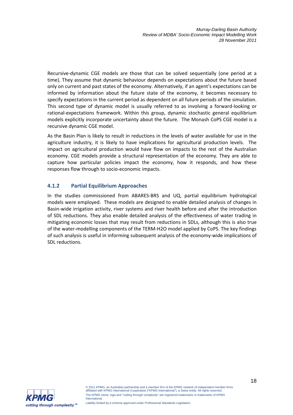Recursive-dynamic CGE models are those that can be solved sequentially (one period at a time). They assume that dynamic behaviour depends on expectations about the future based only on current and past states of the economy. Alternatively, if an agent's expectations can be informed by information about the future state of the economy, it becomes necessary to specify expectations in the current period as dependent on all future periods of the simulation. This second type of dynamic model is usually referred to as involving a forward-looking or rational-expectations framework. Within this group, dynamic stochastic general equilibrium models explicitly incorporate uncertainty about the future. The Monash CoPS CGE model is a recursive dynamic CGE model.

As the Basin Plan is likely to result in reductions in the levels of water available for use in the agriculture industry, it is likely to have implications for agricultural production levels. The impact on agricultural production would have flow on impacts to the rest of the Australian economy. CGE models provide a structural representation of the economy. They are able to capture how particular policies impact the economy, how it responds, and how these responses flow through to socio-economic impacts.

# **4.1.2 Partial Equilibrium Approaches**

In the studies commissioned from ABARES-BRS and UQ, partial equilibrium hydrological models were employed. These models are designed to enable detailed analysis of changes in Basin-wide irrigation activity, river systems and river health before and after the introduction of SDL reductions. They also enable detailed analysis of the effectiveness of water trading in mitigating economic losses that may result from reductions in SDLs, although this is also true of the water-modelling components of the TERM-H2O model applied by CoPS. The key findings of such analysis is useful in informing subsequent analysis of the economy-wide implications of SDL reductions.

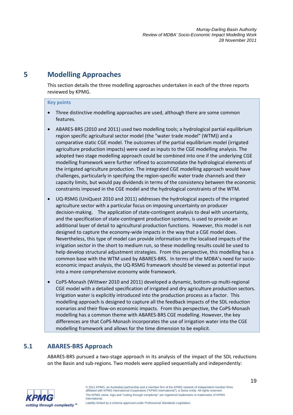# **5 Modelling Approaches**

This section details the three modelling approaches undertaken in each of the three reports reviewed by KPMG.

#### **Key points**

- Three distinctive modelling approaches are used, although there are some common features.
- ABARES-BRS (2010 and 2011) used two modelling tools; a hydrological partial equilibrium region specific agricultural sector model (the "water trade model" (WTM)) and a comparative static CGE model. The outcomes of the partial equilibrium model (irrigated agriculture production impacts) were used as inputs to the CGE modelling analysis. The adopted two stage modelling approach could be combined into one if the underlying CGE modelling framework were further refined to accommodate the hydrological elements of the irrigated agriculture production. The integrated CGE modelling approach would have challenges, particularly in specifying the region-specific water trade channels and their capacity limits, but would pay dividends in terms of the consistency between the economic constraints imposed in the CGE model and the hydrological constraints of the WTM.
- UQ-RSMG (UniQuest 2010 and 2011) addresses the hydrological aspects of the irrigated agriculture sector with a particular focus on imposing uncertainty on producer decision-making. The application of state-contingent analysis to deal with uncertainty, and the specification of state-contingent production systems, is used to provide an additional layer of detail to agricultural production functions. However, this model is not designed to capture the economy-wide impacts in the way that a CGE model does. Nevertheless, this type of model can provide information on the localised impacts of the irrigation sector in the short to medium run, so these modelling results could be used to help develop structural adjustment strategies. From this perspective, this modelling has a common base with the WTM used by ABARES-BRS. In terms of the MDBA's need for socioeconomic impact analysis, the UQ-RSMG framework should be viewed as potential input into a more comprehensive economy wide framework.
- CoPS-Monash (Wittwer 2010 and 2011) developed a dynamic, bottom-up multi-regional CGE model with a detailed specification of irrigated and dry agriculture production sectors. Irrigation water is explicitly introduced into the production process as a factor. This modelling approach is designed to capture all the feedback impacts of the SDL reduction scenarios and their flow-on economic impacts. From this perspective, the CoPS-Monash modelling has a common theme with ABARES-BRS CGE modelling. However, the key differences are that CoPS-Monash incorporates the use of irrigation water into the CGE modelling framework and allows for the time dimension to be explicit.

# **5.1 ABARES-BRS Approach**

ABARES-BRS pursued a two-stage approach in its analysis of the impact of the SDL reductions on the Basin and sub-regions. Two models were applied sequentially and independently:



Liability limited by a scheme approved under Professional Standards Legislation.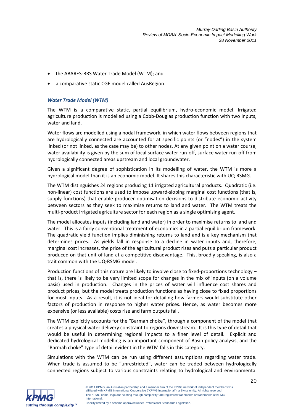- the ABARES-BRS Water Trade Model (WTM); and
- a comparative static CGE model called AusRegion.

### *Water Trade Model (WTM)*

The WTM is a comparative static, partial equilibrium, hydro-economic model. Irrigated agriculture production is modelled using a Cobb-Douglas production function with two inputs, water and land.

Water flows are modelled using a nodal framework, in which water flows between regions that are hydrologically connected are accounted for at specific points (or "nodes") in the system linked (or not linked, as the case may be) to other nodes. At any given point on a water course, water availability is given by the sum of local surface water run-off, surface water run-off from hydrologically connected areas upstream and local groundwater.

Given a significant degree of sophistication in its modelling of water, the WTM is more a hydrological model than it is an economic model. It shares this characteristic with UQ-RSMG.

The WTM distinguishes 24 regions producing 11 irrigated agricultural products. Quadratic (i.e. non-linear) cost functions are used to impose upward-sloping marginal cost functions (that is, supply functions) that enable producer optimisation decisions to distribute economic activity between sectors as they seek to maximise returns to land and water. The WTM treats the multi-product irrigated agriculture sector for each region as a single optimising agent.

The model allocates inputs (including land and water) in order to maximise returns to land and water. This is a fairly conventional treatment of economics in a partial equilibrium framework. The quadratic yield function implies diminishing returns to land and is a key mechanism that determines prices. As yields fall in response to a decline in water inputs and, therefore, marginal cost increases, the price of the agricultural product rises and puts a particular product produced on that unit of land at a competitive disadvantage. This, broadly speaking, is also a trait common with the UQ-RSMG model.

Production functions of this nature are likely to involve close to fixed-proportions technology – that is, there is likely to be very limited scope for changes in the mix of inputs (on a volume basis) used in production. Changes in the prices of water will influence cost shares and product prices, but the model treats production functions as having close to fixed proportions for most inputs. As a result, it is not ideal for detailing how farmers would substitute other factors of production in response to higher water prices. Hence, as water becomes more expensive (or less available) costs rise and farm outputs fall.

The WTM explicitly accounts for the "Barmah choke", through a component of the model that creates a physical water delivery constraint to regions downstream. It is this type of detail that would be useful in determining regional impacts to a finer level of detail. Explicit and dedicated hydrological modelling is an important component of Basin policy analysis, and the "Barmah choke" type of detail evident in the WTM falls in this category.

Simulations with the WTM can be run using different assumptions regarding water trade. When trade is assumed to be "unrestricted", water can be traded between hydrologically connected regions subject to various constraints relating to hydrological and environmental

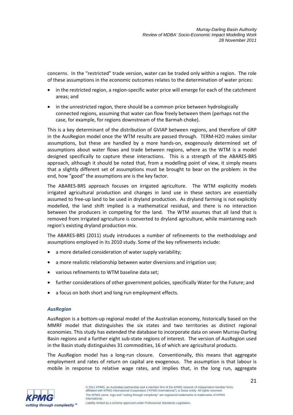concerns. In the "restricted" trade version, water can be traded only within a region. The role of these assumptions in the economic outcomes relates to the determination of water prices:

- in the restricted region, a region-specific water price will emerge for each of the catchment areas; and
- in the unrestricted region, there should be a common price between hydrologically connected regions, assuming that water can flow freely between them (perhaps not the case, for example, for regions downstream of the Barmah choke).

This is a key determinant of the distribution of GVIAP between regions, and therefore of GRP in the AusRegion model once the WTM results are passed through. TERM-H2O makes similar assumptions, but these are handled by a more hands-on, exogenously determined set of assumptions about water flows and trade between regions, where as the WTM is a model designed specifically to capture these interactions. This is a strength of the ABARES-BRS approach, although it should be noted that, from a modelling point of view, it simply means that a slightly different set of assumptions must be brought to bear on the problem: in the end, how "good" the assumptions are is the key factor.

The ABARES-BRS approach focuses on irrigated agriculture. The WTM explicitly models irrigated agricultural production and changes in land use in these sectors are essentially assumed to free-up land to be used in dryland production. As dryland farming is not explicitly modelled, the land shift implied is a mathematical residual, and there is no interaction between the producers in competing for the land. The WTM assumes that all land that is removed from irrigated agriculture is converted to dryland agriculture, while maintaining each region's existing dryland production mix.

The ABARES-BRS (2011) study introduces a number of refinements to the methodology and assumptions employed in its 2010 study. Some of the key refinements include:

- a more detailed consideration of water supply variability;
- a more realistic relationship between water diversions and irrigation use;
- various refinements to WTM baseline data set;
- further considerations of other government policies, specifically Water for the Future; and
- a focus on both short and long run employment effects.

#### *AusRegion*

AusRegion is a bottom-up regional model of the Australian economy, historically based on the MMRF model that distinguishes the six states and two territories as distinct regional economies. This study has extended the database to incorporate data on seven Murray-Darling Basin regions and a further eight sub-state regions of interest. The version of AusRegion used in the Basin study distinguishes 31 commodities, 16 of which are agricultural products.

The AusRegion model has a long-run closure. Conventionally, this means that aggregate employment and rates of return on capital are exogenous. The assumption is that labour is mobile in response to relative wage rates, and implies that, in the long run, aggregate

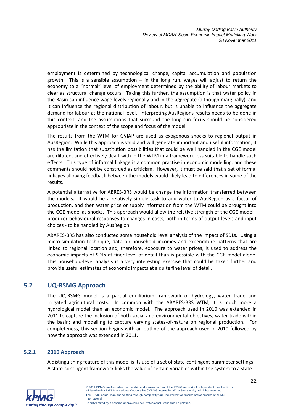employment is determined by technological change, capital accumulation and population growth. This is a sensible assumption  $-$  in the long run, wages will adjust to return the economy to a "normal" level of employment determined by the ability of labour markets to clear as structural change occurs. Taking this further, the assumption is that water policy in the Basin can influence wage levels regionally and in the aggregate (although marginally), and it can influence the regional distribution of labour, but is unable to influence the aggregate demand for labour at the national level. Interpreting AusRegions results needs to be done in this context, and the assumptions that surround the long-run focus should be considered appropriate in the context of the scope and focus of the model.

The results from the WTM for GVIAP are used as exogenous shocks to regional output in AusRegion. While this approach is valid and will generate important and useful information, it has the limitation that substitution possibilities that could be well handled in the CGE model are diluted, and effectively dealt-with in the WTM in a framework less suitable to handle such effects. This type of informal linkage is a common practise in economic modelling, and these comments should not be construed as criticism. However, it must be said that a set of formal linkages allowing feedback between the models would likely lead to differences in some of the results.

A potential alternative for ABRES-BRS would be change the information transferred between the models. It would be a relatively simple task to add water to AusRegion as a factor of production, and then water price or supply information from the WTM could be brought into the CGE model as shocks. This approach would allow the relative strength of the CGE model producer behavioural responses to changes in costs, both in terms of output levels and input choices - to be handled by AusRegion.

ABARES-BRS has also conducted some household level analysis of the impact of SDLs. Using a micro-simulation technique, data on household incomes and expenditure patterns that are linked to regional location and, therefore, exposure to water prices, is used to address the economic impacts of SDLs at finer level of detail than is possible with the CGE model alone. This household-level analysis is a very interesting exercise that could be taken further and provide useful estimates of economic impacts at a quite fine level of detail.

# **5.2 UQ-RSMG Approach**

The UQ-RSMG model is a partial equilibrium framework of hydrology, water trade and irrigated agricultural costs. In common with the ABARES-BRS WTM, it is much more a hydrological model than an economic model. The approach used in 2010 was extended in 2011 to capture the inclusion of both social and environmental objectives; water trade within the basin; and modelling to capture varying states-of-nature on regional production. For completeness, this section begins with an outline of the approach used in 2010 followed by how the approach was extended in 2011.

#### **5.2.1 2010 Approach**

A distinguishing feature of this model is its use of a set of state-contingent parameter settings. A state-contingent framework links the value of certain variables within the system to a state

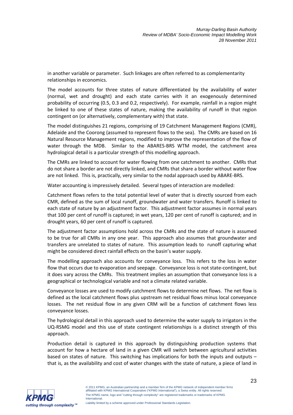in another variable or parameter. Such linkages are often referred to as complementarity relationships in economics.

The model accounts for three states of nature differentiated by the availability of water (normal, wet and drought) and each state carries with it an exogenously determined probability of occurring (0.5, 0.3 and 0.2, respectively). For example, rainfall in a region might be linked to one of these states of nature, making the availability of runoff in that region contingent on (or alternatively, complementary with) that state.

The model distinguishes 21 regions, comprising of 19 Catchment Management Regions (CMR), Adelaide and the Coorong (assumed to represent flows to the sea). The CMRs are based on 16 Natural Resource Management regions, modified to improve the representation of the flow of water through the MDB. Similar to the ABARES-BRS WTM model, the catchment area hydrological detail is a particular strength of this modelling approach.

The CMRs are linked to account for water flowing from one catchment to another. CMRs that do not share a border are not directly linked, and CMRs that share a border without water flow are not linked. This is, practically, very similar to the nodal approach used by ABARE-BRS.

Water accounting is impressively detailed. Several types of interaction are modelled:

Catchment flows refers to the total potential level of water that is directly sourced from each CMR, defined as the sum of local runoff, groundwater and water transfers. Runoff is linked to each state of nature by an adjustment factor. This adjustment factor assumes in normal years that 100 per cent of runoff is captured; in wet years, 120 per cent of runoff is captured; and in drought years, 60 per cent of runoff is captured.

The adjustment factor assumptions hold across the CMRs and the state of nature is assumed to be true for all CMRs in any one year. This approach also assumes that groundwater and transfers are unrelated to states of nature. This assumption leads to runoff capturing what might be considered direct rainfall effects on the basin's water supply.

The modelling approach also accounts for conveyance loss. This refers to the loss in water flow that occurs due to evaporation and seepage. Conveyance loss is not state-contingent, but it does vary across the CMRs. This treatment implies an assumption that conveyance loss is a geographical or technological variable and not a climate related variable.

Conveyance losses are used to modify catchment flows to determine net flows. The net flow is defined as the local catchment flows plus upstream net residual flows minus local conveyance losses. The net residual flow in any given CRM will be a function of catchment flows less conveyance losses.

The hydrological detail in this approach used to determine the water supply to irrigators in the UQ-RSMG model and this use of state contingent relationships is a distinct strength of this approach.

Production detail is captured in this approach by distinguishing production systems that account for how a hectare of land in a given CMR will switch between agricultural activities based on states of nature. This switching has implications for both the inputs and outputs – that is, as the availability and cost of water changes with the state of nature, a piece of land in

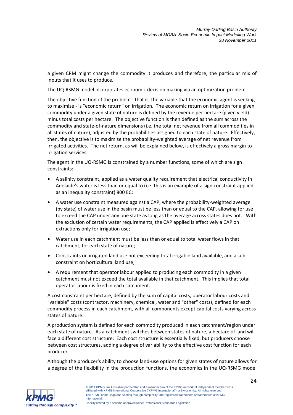a given CRM might change the commodity it produces and therefore, the particular mix of inputs that it uses to produce.

The UQ-RSMG model incorporates economic decision making via an optimization problem.

The objective function of the problem - that is, the variable that the economic agent is seeking to maximize - is "economic return" on irrigation. The economic return on irrigation for a given commodity under a given state of nature is defined by the revenue per hectare (given yield) minus total costs per hectare. The objective function is then defined as the sum across the commodity and state-of-nature dimensions (i.e. the total net revenue from all commodities in all states of nature), adjusted by the probabilities assigned to each state of nature. Effectively, then, the objective is to maximise the probability-weighted average of net revenue from irrigated activities. The net return, as will be explained below, is effectively a gross margin to irrigation services.

The agent in the UQ-RSMG is constrained by a number functions, some of which are sign constraints:

- A salinity constraint, applied as a water quality requirement that electrical conductivity in Adelaide's water is less than or equal to (i.e. this is an example of a sign constraint applied as an inequality constraint) 800 EC;
- A water use constraint measured against a CAP, where the probability-weighted average (by state) of water use in the basin must be less than or equal to the CAP, allowing for use to exceed the CAP under any one state as long as the average across states does not. With the exclusion of certain water requirements, the CAP applied is effectively a CAP on extractions only for irrigation use;
- Water use in each catchment must be less than or equal to total water flows in that catchment, for each state of nature;
- Constraints on irrigated land use not exceeding total irrigable land available, and a subconstraint on horticultural land use;
- A requirement that operator labour applied to producing each commodity in a given catchment must not exceed the total available in that catchment. This implies that total operator labour is fixed in each catchment.

A cost constraint per hectare, defined by the sum of capital costs, operator labour costs and "variable" costs (contractor, machinery, chemical, water and "other" costs), defined for each commodity process in each catchment, with all components except capital costs varying across states of nature.

A production system is defined for each commodity produced in each catchment/region under each state of nature. As a catchment switches between states of nature, a hectare of land will face a different cost structure. Each cost structure is essentially fixed, but producers choose between cost structures, adding a degree of variability to the effective cost function for each producer.

Although the producer's ability to choose land-use options for given states of nature allows for a degree of the flexibility in the production functions, the economics in the UQ-RSMG model

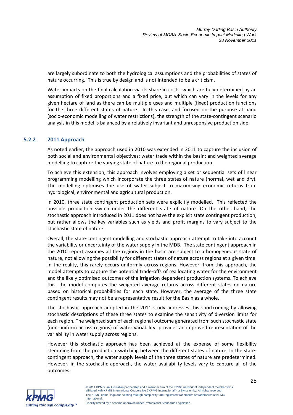are largely subordinate to both the hydrological assumptions and the probabilities of states of nature occurring. This is true by design and is not intended to be a criticism.

Water impacts on the final calculation via its share in costs, which are fully determined by an assumption of fixed proportions and a fixed price, but which can vary in the levels for any given hectare of land as there can be multiple uses and multiple (fixed) production functions for the three different states of nature. In this case, and focused on the purpose at hand (socio-economic modelling of water restrictions), the strength of the state-contingent scenario analysis in this model is balanced by a relatively invariant and unresponsive production side.

# **5.2.2 2011 Approach**

As noted earlier, the approach used in 2010 was extended in 2011 to capture the inclusion of both social and environmental objectives; water trade within the basin; and weighted average modelling to capture the varying state of nature to the regional production.

To achieve this extension, this approach involves employing a set or sequential sets of linear programming modelling which incorporate the three states of nature (normal, wet and dry). The modelling optimises the use of water subject to maximising economic returns from hydrological, environmental and agricultural production.

In 2010, three state contingent production sets were explicitly modelled. This reflected the possible production switch under the different state of nature. On the other hand, the stochastic approach introduced in 2011 does not have the explicit state contingent production, but rather allows the key variables such as yields and profit margins to vary subject to the stochastic state of nature.

Overall, the state-contingent modelling and stochastic approach attempt to take into account the variability or uncertainty of the water supply in the MDB. The state contingent approach in the 2010 report assumes all the regions in the basin are subject to a homogeneous state of nature, not allowing the possibility for different states of nature across regions at a given time. In the reality, this rarely occurs uniformly across regions. However, from this approach, the model attempts to capture the potential trade-offs of reallocating water for the environment and the likely optimised outcomes of the irrigation dependent production systems. To achieve this, the model computes the weighted average returns across different states on nature based on historical probabilities for each state. However, the average of the three state contingent results may not be a representative result for the Basin as a whole.

The stochastic approach adopted in the 2011 study addresses this shortcoming by allowing stochastic descriptions of these three states to examine the sensitivity of diversion limits for each region. The weighted sum of each regional outcome generated from such stochastic state (non-uniform across regions) of water variability provides an improved representation of the variability in water supply across regions.

However this stochastic approach has been achieved at the expense of some flexibility stemming from the production switching between the different states of nature. In the statecontingent approach, the water supply levels of the three states of nature are predetermined. However, in the stochastic approach, the water availability levels vary to capture all of the outcomes.



25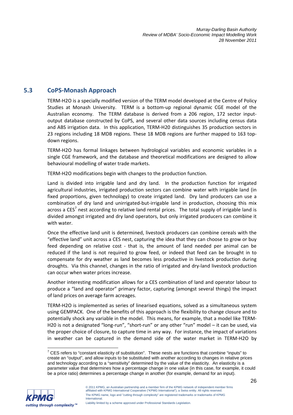# **5.3 CoPS-Monash Approach**

TERM-H2O is a specially modified version of the TERM model developed at the Centre of Policy Studies at Monash University. TERM is a bottom-up regional dynamic CGE model of the Australian economy. The TERM database is derived from a 206 region, 172 sector inputoutput database constructed by CoPS, and several other data sources including census data and ABS irrigation data. In this application, TERM-H20 distinguishes 35 production sectors in 23 regions including 18 MDB regions. These 18 MDB regions are further mapped to 163 topdown regions.

TERM-H2O has formal linkages between hydrological variables and economic variables in a single CGE framework, and the database and theoretical modifications are designed to allow behavioural modelling of water trade markets.

TERM-H2O modifications begin with changes to the production function.

Land is divided into irrigable land and dry land. In the production function for irrigated agricultural industries, irrigated production sectors can combine water with irrigable land (in fixed proportions, given technology) to create irrigated land. Dry land producers can use a combination of dry land and unirrigated-but-irrigable land in production, choosing this mix across a CES<sup>7</sup> nest according to relative land rental prices. The total supply of irrigable land is divided amongst irrigated and dry land operators, but only irrigated producers can combine it with water.

Once the effective land unit is determined, livestock producers can combine cereals with the "effective land" unit across a CES nest, capturing the idea that they can choose to grow or buy feed depending on relative cost - that is, the amount of land needed per animal can be reduced if the land is not required to grow feed, or indeed that feed can be brought in to compensate for dry weather as land becomes less productive in livestock production during droughts. Via this channel, changes in the ratio of irrigated and dry-land livestock production can occur when water prices increase.

Another interesting modification allows for a CES combination of land and operator labour to produce a "land and operator" primary factor, capturing (amongst several things) the impact of land prices on average farm acreages.

TERM-H2O is implemented as series of linearised equations, solved as a simultaneous system using GEMPACK. One of the benefits of this approach is the flexibility to change closure and to potentially shock any variable in the model. This means, for example, that a model like TERM-H20 is not a designated "long-run", "short-run" or any other "run" model – it can be used, via the proper choice of closure, to capture time in any way. For instance, the impact of variations in weather can be captured in the demand side of the water market in TERM-H2O by

 7 CES refers to "constant elasticity of substitution". These nests are functions that combine "inputs" to create an "output", and allow inputs to be substituted with another according to changes in relative prices and technology according to a "sensitivity" determined by the value of the elasticity. An elasticity is a parameter value that determines how a percentage change in one value (in this case, for example, it could be a price ratio) determines a percentage change in another (for example, demand for an input).

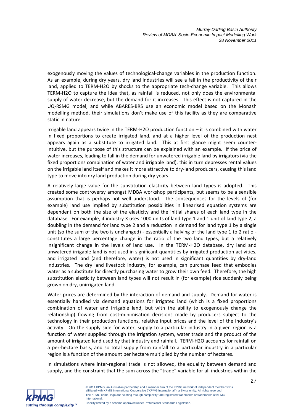exogenously moving the values of technological-change variables in the production function. As an example, during dry years, dry land industries will see a fall in the productivity of their land, applied to TERM-H2O by shocks to the appropriate tech-change variable. This allows TERM-H2O to capture the idea that, as rainfall is reduced, not only does the environmental supply of water decrease, but the demand for it increases. This effect is not captured in the UQ-RSMG model, and while ABARES-BRS use an economic model based on the Monash modelling method, their simulations don't make use of this facility as they are comparative static in nature.

Irrigable land appears twice in the TERM-H2O production function – it is combined with water in fixed proportions to create irrigated land, and at a higher level of the production nest appears again as a substitute to irrigated land. This at first glance might seem counterintuitive, but the purpose of this structure can be explained with an example. If the price of water increases, leading to fall in the demand for unwatered irrigable land by irrigators (via the fixed proportions combination of water and irrigable land), this in turn depresses rental values on the irrigable land itself and makes it more attractive to dry-land producers, causing this land type to move into dry land production during dry years.

A relatively large value for the substitution elasticity between land types is adopted. This created some controversy amongst MDBA workshop participants, but seems to be a sensible assumption that is perhaps not well understood. The consequences for the levels of (for example) land use implied by substitution possibilities in linearised equation systems are dependent on both the size of the elasticity and the initial shares of each land type in the database. For example, if industry X uses 1000 units of land type 1 and 1 unit of land type 2, a doubling in the demand for land type 2 and a reduction in demand for land type 1 by a single unit (so the sum of the two is unchanged) - essentially a halving of the land type 1 to 2 ratio constitutes a large percentage change in the ratio of the two land types, but a relatively insignificant change in the levels of land use. In the TERM-H2O database, dry land and unwatered irrigable land is not used in significant quantities by irrigated production activities, and irrigated land (and therefore, water) is not used in significant quantities by dry-land industries. The dry land livestock industry, for example, can purchase feed that embodies water as a substitute for directly purchasing water to grow their own feed. Therefore, the high substitution elasticity between land types will not result in (for example) rice suddenly being grown on dry, unirrigated land.

Water prices are determined by the interaction of demand and supply. Demand for water is essentially handled via demand equations for irrigated land (which is a fixed proportions combination of water and irrigable land, but with the ability to exogenously change the relationship) flowing from cost-minimisation decisions made by producers subject to the technology in their production functions, relative input prices and the level of the industry's activity. On the supply side for water, supply to a particular industry in a given region is a function of water supplied through the irrigation system, water trade and the product of the amount of irrigated land used by that industry and rainfall. TERM-H2O accounts for rainfall on a per-hectare basis, and so total supply from rainfall to a particular industry in a particular region is a function of the amount per hectare multiplied by the number of hectares.

In simulations where inter-regional trade is not allowed, the equality between demand and supply, and the constraint that the sum across the "trade" variable for all industries within the

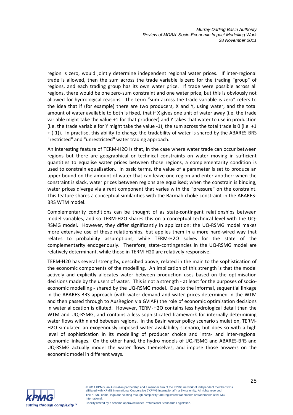region is zero, would jointly determine independent regional water prices. If inter-regional trade is allowed, then the sum across the trade variable is zero for the trading "group" of regions, and each trading group has its own water price. If trade were possible across all regions, there would be one zero-sum constraint and one water price, but this is obviously not allowed for hydrological reasons. The term "sum across the trade variable is zero" refers to the idea that if (for example) there are two producers, X and Y, using water, and the total amount of water available to both is fixed, that if X gives one unit of water away (i.e. the trade variable might take the value +1 for that producer) and Y takes that water to use in production (i.e. the trade variable for Y might take the value -1), the sum across the total trade is 0 (i.e. +1 + (-1)). In practise, this ability to change the tradability of water is shared by the ABARES-BRS "restricted" and "unrestricted" water trading approach.

An interesting feature of TERM-H2O is that, in the case where water trade can occur between regions but there are geographical or technical constraints on water moving in sufficient quantities to equalise water prices between those regions, a complementarity condition is used to constrain equalisation. In basic terms, the value of a parameter is set to produce an upper bound on the amount of water that can leave one region and enter another: when the constraint is slack, water prices between regions are equalised; when the constrain is binding, water prices diverge via a rent component that varies with the "pressure" on the constraint. This feature shares a conceptual similarities with the Barmah choke constraint in the ABARES-BRS WTM model.

Complementarity conditions can be thought of as state-contingent relationships between model variables, and so TERM-H2O shares this on a conceptual technical level with the UQ-RSMG model. However, they differ significantly in application: the UQ-RSMG model makes more extensive use of these relationships, but applies them in a more hard-wired way that relates to probability assumptions, while TERM-H2O solves for the state of the complementarity endogenously. Therefore, state-contingencies in the UQ-RSMG model are relatively determinant, while those in TERM-H20 are relatively responsive.

TERM-H20 has several strengths, described above, related in the main to the sophistication of the economic components of the modelling. An implication of this strength is that the model actively and explicitly allocates water between production uses based on the optimisation decisions made by the users of water. This is not a strength - at least for the purposes of socioeconomic modelling - shared by the UQ-RSMG model. Due to the informal, sequential linkage in the ABARES-BRS approach (with water demand and water prices determined in the WTM and then passed through to AusRegion via GVIAP) the role of economic optimisation decisions in water allocation is diluted. However, TERM-H2O contains less hydrological detail than the WTM and UQ-RSMG, and contains a less sophisticated framework for internally determining water flows within and between regions. In the Basin water policy scenario simulation, TERM-H2O simulated an exogenously imposed water availability scenario, but does so with a high level of sophistication in its modelling of producer choice and intra- and inter-regional economic linkages. On the other hand, the hydro models of UQ-RSMG and ABARES-BRS and UQ-RSMG actually model the water flows themselves, and impose those answers on the economic model in different ways.

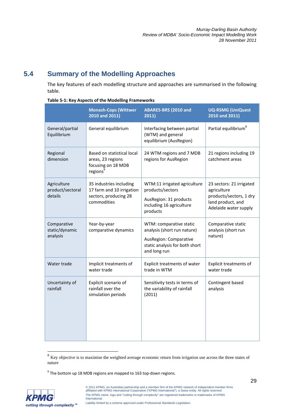# **5.4 Summary of the Modelling Approaches**

The key features of each modelling structure and approaches are summarised in the following table.

|                                            | <b>Monash-Cops (Wittwer</b><br>2010 and 2011)                                                 | ABARES-BRS (2010 and<br>2011)                                                                                                      | <b>UQ-RSMG (UniQuest</b><br>2010 and 2011)                                                                       |
|--------------------------------------------|-----------------------------------------------------------------------------------------------|------------------------------------------------------------------------------------------------------------------------------------|------------------------------------------------------------------------------------------------------------------|
| General/partial<br>Equilibrium             | General equilibrium                                                                           | Interfacing between partial<br>(WTM) and general<br>equilibrium (AusRegion)                                                        | Partial equilibrium <sup>8</sup>                                                                                 |
| Regional<br>dimension                      | Based on statistical local<br>areas, 23 regions<br>focusing on 18 MDB<br>regions <sup>9</sup> | 24 WTM regions and 7 MDB<br>regions for AusRegion                                                                                  | 21 regions including 19<br>catchment areas                                                                       |
| Agriculture<br>product/sectoral<br>details | 35 industries including<br>17 farm and 10 irrigation<br>sectors, producing 28<br>commodities  | WTM:11 irrigated agriculture<br>products/sectors<br>AusRegion: 31 products<br>including 16 agriculture<br>products                 | 23 sectors: 21 irrigated<br>agriculture<br>products/sectors, 1 dry<br>land product, and<br>Adelaide water supply |
| Comparative<br>static/dynamic<br>analysis  | Year-by-year<br>comparative dynamics                                                          | WTM: comparative static<br>analysis (short run nature)<br>AusRegion: Comparative<br>static analysis for both short<br>and long run | Comparative static<br>analysis (short run<br>nature)                                                             |
| Water trade                                | Implicit treatments of<br>water trade                                                         | Explicit treatments of water<br>trade in WTM                                                                                       | <b>Explicit treatments of</b><br>water trade                                                                     |
| Uncertainty of<br>rainfall                 | Explicit scenario of<br>rainfall over the<br>simulation periods                               | Sensitivity tests in terms of<br>the variability of rainfall<br>(2011)                                                             | Contingent based<br>analysis                                                                                     |

#### **Table 5-1: Key Aspects of the Modelling Frameworks**

 $9$  The bottom up 18 MDB regions are mapped to 163 top-down regions.



 $\overline{a}$ 

 $8\,$  Key objective is to maximise the weighted average economic return from irrigation use across the three states of nature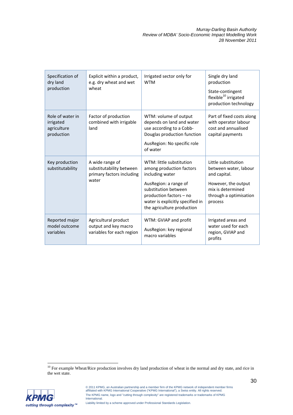| Specification of<br>dry land<br>production                 | Explicit within a product,<br>e.g. dry wheat and wet<br>wheat                     | Irrigated sector only for<br><b>WTM</b>                                                                                                                                                                               | Single dry land<br>production<br>State-contingent<br>flexible <sup>10</sup> irrigated<br>production technology                                |
|------------------------------------------------------------|-----------------------------------------------------------------------------------|-----------------------------------------------------------------------------------------------------------------------------------------------------------------------------------------------------------------------|-----------------------------------------------------------------------------------------------------------------------------------------------|
| Role of water in<br>irrigated<br>agriculture<br>production | Factor of production<br>combined with irrigable<br>land                           | WTM: volume of output<br>depends on land and water<br>use according to a Cobb-<br>Douglas production function<br>AusRegion: No specific role<br>of water                                                              | Part of fixed costs along<br>with operator labour<br>cost and annualised<br>capital payments                                                  |
| Key production<br>substitutability                         | A wide range of<br>substitutability between<br>primary factors including<br>water | WTM: little substitution<br>among production factors<br>including water<br>AusRegion: a range of<br>substitution between<br>production factors - no<br>water is explicitly specified in<br>the agriculture production | Little substitution<br>between water, labour<br>and capital.<br>However, the output<br>mix is determined<br>through a optimisation<br>process |
| Reported major<br>model outcome<br>variables               | Agricultural product<br>output and key macro<br>variables for each region         | WTM: GVIAP and profit<br>AusRegion: key regional<br>macro variables                                                                                                                                                   | Irrigated areas and<br>water used for each<br>region, GVIAP and<br>profits                                                                    |

 $\overline{a}$  $10$  For example Wheat/Rice production involves dry land production of wheat in the normal and dry state, and rice in the wet state.

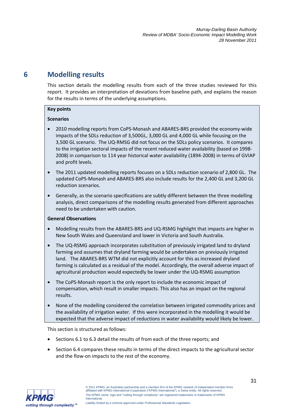# **6 Modelling results**

This section details the modelling results from each of the three studies reviewed for this report. It provides an interpretation of deviations from baseline path, and explains the reason for the results in terms of the underlying assumptions.

### **Key points**

# **Scenarios**

- 2010 modelling reports from CoPS-Monash and ABARES-BRS provided the economy-wide impacts of the SDLs reduction of 3,500GL, 3,000 GL and 4,000 GL while focusing on the 3,500 GL scenario. The UQ-RMSG did not focus on the SDLs policy scenarios. It compares to the irrigation sectoral impacts of the recent reduced water availability (based on 1998- 2008) in comparison to 114 year historical water availability (1894-2008) in terms of GVIAP and profit levels.
- The 2011 updated modelling reports focuses on a SDLs reduction scenario of 2,800 GL. The updated CoPS-Monash and ABARES-BRS also include results for the 2,400 GL and 3,200 GL reduction scenarios.
- Generally, as the scenario specifications are subtly different between the three modelling analysis, direct comparisons of the modelling results generated from different approaches need to be undertaken with caution.

# **General Observations**

- Modelling results from the ABARES-BRS and UQ-RSMG highlight that impacts are higher in New South Wales and Queensland and lower in Victoria and South Australia.
- The UQ-RSMG approach incorporates substitution of previously irrigated land to dryland farming and assumes that dryland farming would be undertaken on previously irrigated land. The ABARES-BRS WTM did not explicitly account for this as increased dryland farming is calculated as a residual of the model. Accordingly, the overall adverse impact of agricultural production would expectedly be lower under the UQ-RSMG assumption
- The CoPS-Monash report is the only report to include the economic impact of compensation, which result in smaller impacts. This also has an impact on the regional results.
- None of the modelling considered the correlation between irrigated commodity prices and the availability of irrigation water. If this were incorporated in the modelling it would be expected that the adverse impact of reductions in water availability would likely be lower.

This section is structured as follows:

- Sections 6.1 to 6.3 detail the results of from each of the three reports; and
- Section 6.4 compares these results in terms of the direct impacts to the agricultural sector and the flow-on impacts to the rest of the economy.

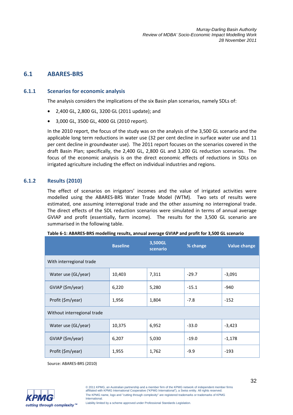# **6.1 ABARES-BRS**

### **6.1.1 Scenarios for economic analysis**

The analysis considers the implications of the six Basin plan scenarios, namely SDLs of:

- 2,400 GL, 2,800 GL, 3200 GL (2011 update); and
- 3,000 GL, 3500 GL, 4000 GL (2010 report).

In the 2010 report, the focus of the study was on the analysis of the 3,500 GL scenario and the applicable long term reductions in water use (32 per cent decline in surface water use and 11 per cent decline in groundwater use). The 2011 report focuses on the scenarios covered in the draft Basin Plan; specifically, the 2,400 GL, 2,800 GL and 3,200 GL reduction scenarios. The focus of the economic analysis is on the direct economic effects of reductions in SDLs on irrigated agriculture including the effect on individual industries and regions.

### **6.1.2 Results (2010)**

The effect of scenarios on irrigators' incomes and the value of irrigated activities were modelled using the ABARES-BRS Water Trade Model (WTM). Two sets of results were estimated, one assuming interregional trade and the other assuming no interregional trade. The direct effects of the SDL reduction scenarios were simulated in terms of annual average GVIAP and profit (essentially, farm income). The results for the 3,500 GL scenario are summarised in the following table.

|                             | <b>Baseline</b> | 3,500GL<br>scenario | % change | <b>Value change</b> |  |
|-----------------------------|-----------------|---------------------|----------|---------------------|--|
| With interregional trade    |                 |                     |          |                     |  |
| Water use (GL/year)         | 10,403          | 7,311               | $-29.7$  | $-3,091$            |  |
| GVIAP (\$m/year)            | 6,220           | 5,280               | $-15.1$  | $-940$              |  |
| Profit (\$m/year)           | 1,956           | 1,804               | $-7.8$   | $-152$              |  |
| Without interregional trade |                 |                     |          |                     |  |
| Water use (GL/year)         | 10,375          | 6,952               | $-33.0$  | $-3,423$            |  |
| GVIAP (\$m/year)            | 6,207           | 5,030               | $-19.0$  | $-1,178$            |  |
| Profit (\$m/year)           | 1,955           | 1,762               | $-9.9$   | $-193$              |  |

|  | Table 6-1: ABARES-BRS modelling results, annual average GVIAP and profit for 3,500 GL scenario |
|--|------------------------------------------------------------------------------------------------|
|--|------------------------------------------------------------------------------------------------|

Source: ABARES-BRS (2010)

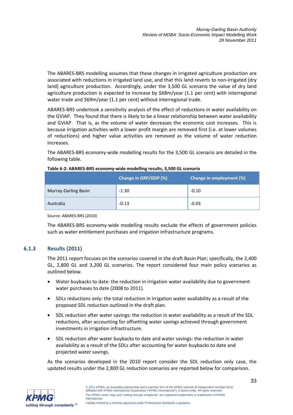The ABARES-BRS modelling assumes that these changes in irrigated agriculture production are associated with reductions in irrigated land use, and that this land reverts to non-irrigated (dry land) agriculture production. Accordingly, under the 3,500 GL scenario the value of dry land agriculture production is expected to increase by \$68m/year (1.1 per cent) with interregional water trade and \$69m/year (1.1 per cent) without interregional trade.

ABARES-BRS undertook a sensitivity analysis of the effect of reductions in water availability on the GVIAP. They found that there is likely to be a linear relationship between water availability and GVIAP. That is, as the volume of water decreases the economic cost increases. This is because irrigation activities with a lower profit margin are removed first (i.e. at lower volumes of reductions) and higher value activities are removed as the volume of water reduction increases.

The ABARES-BRS economy-wide modelling results for the 3,500 GL scenario are detailed in the following table.

|                      | Change in GRP/GDP (%) | Change in employment (%) |
|----------------------|-----------------------|--------------------------|
| Murray-Darling Basin | $-1.30$               | $-0.10$                  |
| Australia            | $-0.13$               | $-0.03$                  |

#### **Table 6-2: ABARES-BRS economy-wide modelling results, 3,500 GL scenario**

Source: ABARES-BRS (2010)

The ABARES-BRS economy-wide modelling results exclude the effects of government policies such as water entitlement purchases and irrigation infrastructure programs.

# **6.1.3 Results (2011)**

The 2011 report focuses on the scenarios covered in the draft Basin Plan; specifically, the 2,400 GL, 2,800 GL and 3,200 GL scenarios. The report considered four main policy scenarios as outlined below.

- Water buybacks to date: the reduction in irrigation water availability due to government water purchases to date (2008 to 2011).
- SDLs reductions only: the total reduction in irrigation water availability as a result of the proposed SDL reduction outlined in the draft plan.
- SDL reduction after water savings: the reduction in water availability as a result of the SDL reductions, after accounting for offsetting water savings achieved through government investments in irrigation infrastructure.
- SDL reduction after water buybacks to date and water savings: the reduction in water availability as a result of the SDLs after accounting for water buybacks to date and projected water savings.

As the scenarios developed in the 2010 report consider the SDL reduction only case, the updated results under the 2,800 GL reduction scenarios are reported below for comparison.

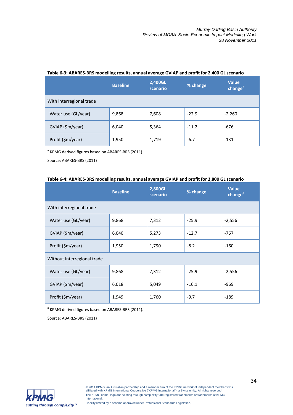|                          | <b>Baseline</b> | 2,400GL<br>scenario | % change | <b>Value</b><br>change <sup>a</sup> |
|--------------------------|-----------------|---------------------|----------|-------------------------------------|
| With interregional trade |                 |                     |          |                                     |
| Water use (GL/year)      | 9,868           | 7,608               | $-22.9$  | $-2,260$                            |
| GVIAP (\$m/year)         | 6,040           | 5,364               | $-11.2$  | $-676$                              |
| Profit (\$m/year)        | 1,950           | 1,719               | $-6.7$   | $-131$                              |

#### **Table 6-3: ABARES-BRS modelling results, annual average GVIAP and profit for 2,400 GL scenario**

<sup>a</sup> KPMG derived figures based on ABARES-BRS (2011).

Source: ABARES-BRS (2011)

#### **Table 6-4: ABARES-BRS modelling results, annual average GVIAP and profit for 2,800 GL scenario**

|                             | <b>Baseline</b> | 2,800GL<br>scenario | % change | <b>Value</b><br>change <sup>ª</sup> |  |
|-----------------------------|-----------------|---------------------|----------|-------------------------------------|--|
| With interregional trade    |                 |                     |          |                                     |  |
| Water use (GL/year)         | 9,868           | 7,312               | $-25.9$  | $-2,556$                            |  |
| GVIAP (\$m/year)            | 6,040           | 5,273               | $-12.7$  | $-767$                              |  |
| Profit (\$m/year)           | 1,950           | 1,790               | $-8.2$   | $-160$                              |  |
| Without interregional trade |                 |                     |          |                                     |  |
| Water use (GL/year)         | 9,868           | 7,312               | $-25.9$  | $-2,556$                            |  |
| GVIAP (\$m/year)            | 6,018           | 5,049               | $-16.1$  | $-969$                              |  |
| Profit (\$m/year)           | 1,949           | 1,760               | $-9.7$   | $-189$                              |  |

<sup>a</sup> KPMG derived figures based on ABARES-BRS (2011).

Source: ABARES-BRS (2011)

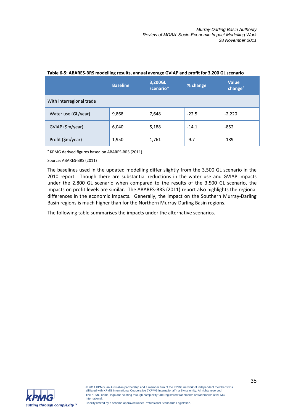|                          | <b>Baseline</b> | 3,200GL<br>scenario* | % change | <b>Value</b><br>change <sup>a</sup> |
|--------------------------|-----------------|----------------------|----------|-------------------------------------|
| With interregional trade |                 |                      |          |                                     |
| Water use (GL/year)      | 9,868           | 7,648                | $-22.5$  | $-2,220$                            |
| GVIAP (\$m/year)         | 6,040           | 5,188                | $-14.1$  | $-852$                              |
| Profit (\$m/year)        | 1,950           | 1,761                | $-9.7$   | $-189$                              |

#### **Table 6-5: ABARES-BRS modelling results, annual average GVIAP and profit for 3,200 GL scenario**

<sup>a</sup> KPMG derived figures based on ABARES-BRS (2011).

Source: ABARES-BRS (2011)

The baselines used in the updated modelling differ slightly from the 3,500 GL scenario in the 2010 report. Though there are substantial reductions in the water use and GVIAP impacts under the 2,800 GL scenario when compared to the results of the 3,500 GL scenario, the impacts on profit levels are similar. The ABARES-BRS (2011) report also highlights the regional differences in the economic impacts. Generally, the impact on the Southern Murray-Darling Basin regions is much higher than for the Northern Murray-Darling Basin regions.

The following table summarises the impacts under the alternative scenarios.

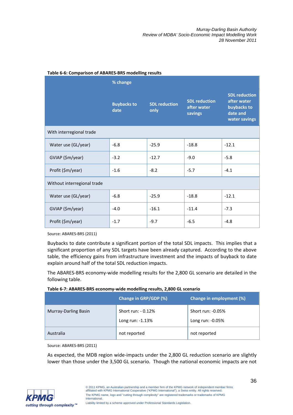|                             | % change                   |                              |                                                |                                                                                 |  |
|-----------------------------|----------------------------|------------------------------|------------------------------------------------|---------------------------------------------------------------------------------|--|
|                             | <b>Buybacks to</b><br>date | <b>SDL</b> reduction<br>only | <b>SDL reduction</b><br>after water<br>savings | <b>SDL reduction</b><br>after water<br>buybacks to<br>date and<br>water savings |  |
| With interregional trade    |                            |                              |                                                |                                                                                 |  |
| Water use (GL/year)         | $-6.8$                     | $-25.9$                      | $-18.8$                                        | $-12.1$                                                                         |  |
| GVIAP (\$m/year)            | $-3.2$                     | $-12.7$                      | $-9.0$                                         | $-5.8$                                                                          |  |
| Profit (\$m/year)           | $-1.6$                     | $-8.2$                       | $-5.7$                                         | $-4.1$                                                                          |  |
| Without interregional trade |                            |                              |                                                |                                                                                 |  |
| Water use (GL/year)         | $-6.8$                     | $-25.9$                      | $-18.8$                                        | $-12.1$                                                                         |  |
| GVIAP (\$m/year)            | $-4.0$                     | $-16.1$                      | $-11.4$                                        | $-7.3$                                                                          |  |
| Profit (\$m/year)           | $-1.7$                     | $-9.7$                       | $-6.5$                                         | $-4.8$                                                                          |  |

#### **Table 6-6: Comparison of ABARES-BRS modelling results**

Source: ABARES-BRS (2011)

Buybacks to date contribute a significant portion of the total SDL impacts. This implies that a significant proportion of any SDL targets have been already captured. According to the above table, the efficiency gains from infrastructure investment and the impacts of buyback to date explain around half of the total SDL reduction impacts.

The ABARES-BRS economy-wide modelling results for the 2,800 GL scenario are detailed in the following table.

| Table 6-7: ABARES-BRS economy-wide modelling results, 2,800 GL scenario |
|-------------------------------------------------------------------------|
|-------------------------------------------------------------------------|

|                      | Change in GRP/GDP (%)                    | Change in employment (%)                |
|----------------------|------------------------------------------|-----------------------------------------|
| Murray-Darling Basin | Short run: - 0.12%<br>Long run: $-1.13%$ | Short run: -0.05%<br>Long run: $-0.05%$ |
| Australia            | not reported                             | not reported                            |

Source: ABARES-BRS (2011)

As expected, the MDB region wide-impacts under the 2,800 GL reduction scenario are slightly lower than those under the 3,500 GL scenario. Though the national economic impacts are not

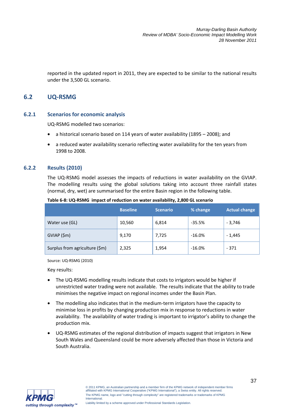reported in the updated report in 2011, they are expected to be similar to the national results under the 3,500 GL scenario.

# **6.2 UQ-RSMG**

#### **6.2.1 Scenarios for economic analysis**

UQ-RSMG modelled two scenarios:

- a historical scenario based on 114 years of water availability (1895 2008); and
- a reduced water availability scenario reflecting water availability for the ten years from 1998 to 2008.

#### **6.2.2 Results (2010)**

The UQ-RSMG model assesses the impacts of reductions in water availability on the GVIAP. The modelling results using the global solutions taking into account three rainfall states (normal, dry, wet) are summarised for the entire Basin region in the following table.

|                                | <b>Baseline</b> | <b>Scenario</b> | % change  | <b>Actual change</b> |
|--------------------------------|-----------------|-----------------|-----------|----------------------|
| Water use (GL)                 | 10,560          | 6,814           | $-35.5%$  | $-3,746$             |
| GVIAP(Sm)                      | 9,170           | 7,725           | $-16.0%$  | $-1,445$             |
| Surplus from agriculture (\$m) | 2,325           | 1,954           | $-16.0\%$ | $-371$               |

#### **Table 6-8: UQ-RSMG impact of reduction on water availability, 2,800 GL scenario**

Source: UQ-RSMG (2010)

Key results:

- The UQ-RSMG modelling results indicate that costs to irrigators would be higher if unrestricted water trading were not available. The results indicate that the ability to trade minimises the negative impact on regional incomes under the Basin Plan.
- The modelling also indicates that in the medium-term irrigators have the capacity to minimise loss in profits by changing production mix in response to reductions in water availability. The availability of water trading is important to irrigator's ability to change the production mix.
- UQ-RSMG estimates of the regional distribution of impacts suggest that irrigators in New South Wales and Queensland could be more adversely affected than those in Victoria and South Australia.

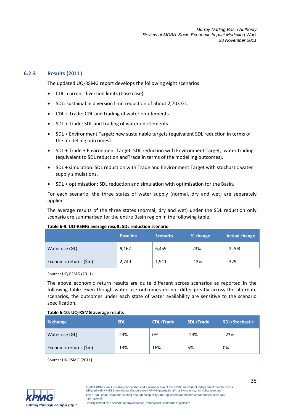### **6.2.3 Results (2011)**

The updated UQ-RSMG report develops the following eight scenarios:

- CDL: current diversion limits (base case).
- SDL: sustainable diversion limit reduction of about 2,703 GL.
- CDL + Trade: CDL and trading of water entitlements.
- SDL + Trade: SDL and trading of water entitlements.
- SDL + Environment Target: new sustainable targets (equivalent SDL reduction in terms of the modelling outcomes).
- SDL + Trade + Environment Target: SDL reduction with Environment Target, water trading (equivalent to SDL reduction andTrade in terms of the modelling outcomes).
- SDL + simulation: SDL reduction with Trade and Environment Target with stochastic water supply simulations.
- SDL + optimisation: SDL reduction and simulation with optimisation for the Basin.

For each scenario, the three states of water supply (normal, dry and wet) are separately applied.

The average results of the three states (normal, dry and wet) under the SDL reduction only scenario are summarised for the entire Basin region in the following table.

#### **Table 6-9: UQ-RSMG average result, SDL reduction scenario**

|                        | <b>Baseline</b> | <b>Scenario</b> | % change | <b>Actual change</b> |
|------------------------|-----------------|-----------------|----------|----------------------|
| Water use (GL)         | 9,162           | 6,459           | $-23%$   | $-2,703$             |
| Economic returns (\$m) | 2,240           | 1,911           | $-13%$   | $-329$               |

Source: UQ-RSMG (2011)

The above economic return results are quite different across scenarios as reported in the following table. Even though water use outcomes do not differ greatly across the alternate scenarios, the outcomes under each state of water availability are sensitive to the scenario specification.

#### **Table 6-10: UQ-RSMG average results**

| % change               | <b>SDL</b> | <b>CDL+Trade</b> | SDL+Trade | SDL+Stochastic |
|------------------------|------------|------------------|-----------|----------------|
| Water use (GL)         | $-23%$     | 0%               | $-23%$    | $-23%$         |
| Economic returns (\$m) | $-13%$     | 16%              | 5%        | 0%             |

Source: UK-RSMG (2011)

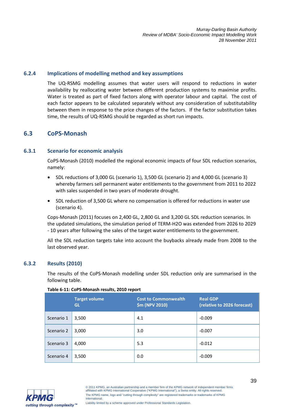### **6.2.4 Implications of modelling method and key assumptions**

The UQ-RSMG modelling assumes that water users will respond to reductions in water availability by reallocating water between different production systems to maximise profits. Water is treated as part of fixed factors along with operator labour and capital. The cost of each factor appears to be calculated separately without any consideration of substitutability between them in response to the price changes of the factors. If the factor substitution takes time, the results of UQ-RSMG should be regarded as short run impacts.

# **6.3 CoPS-Monash**

### **6.3.1 Scenario for economic analysis**

CoPS-Monash (2010) modelled the regional economic impacts of four SDL reduction scenarios, namely:

- SDL reductions of 3,000 GL (scenario 1), 3,500 GL (scenario 2) and 4,000 GL (scenario 3) whereby farmers sell permanent water entitlements to the government from 2011 to 2022 with sales suspended in two years of moderate drought.
- SDL reduction of 3,500 GL where no compensation is offered for reductions in water use (scenario 4).

Cops-Monash (2011) focuses on 2,400 GL, 2,800 GL and 3,200 GL SDL reduction scenarios. In the updated simulations, the simulation period of TERM-H2O was extended from 2026 to 2029 - 10 years after following the sales of the target water entitlements to the government.

All the SDL reduction targets take into account the buybacks already made from 2008 to the last observed year.

#### **6.3.2 Results (2010)**

The results of the CoPS-Monash modelling under SDL reduction only are summarised in the following table.

|            | <b>Target volume</b><br><b>GL</b> | <b>Cost to Commonwealth</b><br>\$m (NPV 2010) | <b>Real GDP</b><br>(relative to 2026 forecast) |
|------------|-----------------------------------|-----------------------------------------------|------------------------------------------------|
| Scenario 1 | 3,500                             | 4.1                                           | $-0.009$                                       |
| Scenario 2 | 3,000                             | 3.0                                           | $-0.007$                                       |
| Scenario 3 | 4,000                             | 5.3                                           | $-0.012$                                       |
| Scenario 4 | 3,500                             | 0.0                                           | $-0.009$                                       |

#### **Table 6-11: CoPS-Monash results, 2010 report**

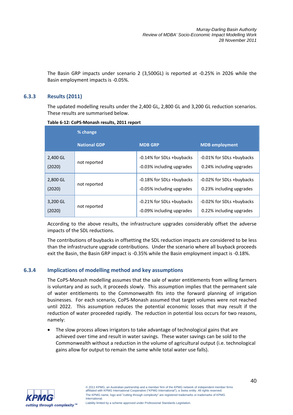The Basin GRP impacts under scenario 2 (3,500GL) is reported at -0.25% in 2026 while the Basin employment impacts is -0.05%.

### **6.3.3 Results (2011)**

The updated modelling results under the 2,400 GL, 2,800 GL and 3,200 GL reduction scenarios. These results are summarised below.

|          | % change            |                           |                           |
|----------|---------------------|---------------------------|---------------------------|
|          | <b>National GDP</b> | <b>MDB GRP</b>            | <b>MDB</b> employment     |
| 2,400 GL | not reported        | -0.14% for SDLs +buybacks | -0.01% for SDLs +buybacks |
| (2020)   |                     | -0.03% including upgrades | 0.24% including upgrades  |
| 2,800 GL | not reported        | -0.18% for SDLs +buybacks | -0.02% for SDLs +buybacks |
| (2020)   |                     | -0.05% including upgrades | 0.23% including upgrades  |
| 3,200 GL | not reported        | -0.21% for SDLs +buybacks | -0.02% for SDLs +buybacks |
| (2020)   |                     | -0.09% including upgrades | 0.22% including upgrades  |

**Table 6-12: CoPS-Monash results, 2011 report** 

According to the above results, the infrastructure upgrades considerably offset the adverse impacts of the SDL reductions.

The contributions of buybacks in offsetting the SDL reduction impacts are considered to be less than the infrastructure upgrade contributions. Under the scenario where all buyback proceeds exit the Basin, the Basin GRP impact is -0.35% while the Basin employment impact is -0.18%.

#### **6.3.4 Implications of modelling method and key assumptions**

The CoPS-Monash modelling assumes that the sale of water entitlements from willing farmers is voluntary and as such, it proceeds slowly. This assumption implies that the permanent sale of water entitlements to the Commonwealth fits into the forward planning of irrigation businesses. For each scenario, CoPS-Monash assumed that target volumes were not reached until 2022. This assumption reduces the potential economic losses that may result if the reduction of water proceeded rapidly. The reduction in potential loss occurs for two reasons, namely:

• The slow process allows irrigators to take advantage of technological gains that are achieved over time and result in water savings. These water savings can be sold to the Commonwealth without a reduction in the volume of agricultural output (i.e. technological gains allow for output to remain the same while total water use falls).

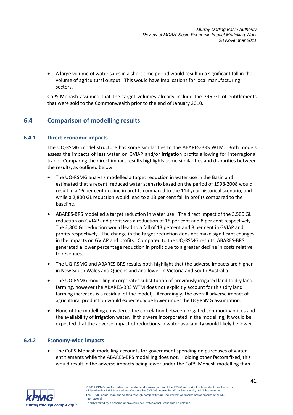• A large volume of water sales in a short time period would result in a significant fall in the volume of agricultural output. This would have implications for local manufacturing sectors.

CoPS-Monash assumed that the target volumes already include the 796 GL of entitlements that were sold to the Commonwealth prior to the end of January 2010.

# **6.4 Comparison of modelling results**

# **6.4.1 Direct economic impacts**

The UQ-RSMG model structure has some similarities to the ABARES-BRS WTM. Both models assess the impacts of less water on GVIAP and/or irrigation profits allowing for interregional trade. Comparing the direct impact results highlights some similarities and disparities between the results, as outlined below.

- The UQ-RSMG analysis modelled a target reduction in water use in the Basin and estimated that a recent reduced water scenario based on the period of 1998-2008 would result in a 16 per cent decline in profits compared to the 114 year historical scenario, and while a 2,800 GL reduction would lead to a 13 per cent fall in profits compared to the baseline.
- ABARES-BRS modelled a target reduction in water use. The direct impact of the 3,500 GL reduction on GVIAP and profit was a reduction of 15 per cent and 8 per cent respectively. The 2,800 GL reduction would lead to a fall of 13 percent and 8 per cent in GVIAP and profits respectively. The change in the target reduction does not make significant changes in the impacts on GVIAP and profits. Compared to the UQ-RSMG results, ABARES-BRS generated a lower percentage reduction in profit due to a greater decline in costs relative to revenues.
- The UQ-RSMG and ABARES-BRS results both highlight that the adverse impacts are higher in New South Wales and Queensland and lower in Victoria and South Australia.
- The UQ-RSMG modelling incorporates substitution of previously irrigated land to dry land farming, however the ABARES-BRS WTM does not explicitly account for this (dry land farming increases is a residual of the model). Accordingly, the overall adverse impact of agricultural production would expectedly be lower under the UQ-RSMG assumption.
- None of the modelling considered the correlation between irrigated commodity prices and the availability of irrigation water. If this were incorporated in the modelling, it would be expected that the adverse impact of reductions in water availability would likely be lower.

# **6.4.2 Economy-wide impacts**

• The CoPS-Monash modelling accounts for government spending on purchases of water entitlements while the ABARES-BRS modelling does not. Holding other factors fixed, this would result in the adverse impacts being lower under the CoPS-Monash modelling than

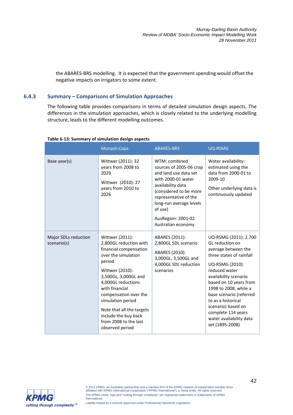the ABARES-BRS modelling. It is expected that the government spending would offset the negative impacts on irrigators to some extent.

# **6.4.3 Summary – Comparisons of Simulation Approaches**

The following table provides comparisons in terms of detailed simulation design aspects. The differences in the simulation approaches, which is closely related to the underlying modelling structure, leads to the different modelling outcomes.

|                                     | Monash-Cops                                                                                                                                                                                                                                                                                                                            | <b>ABARES-BRS</b>                                                                                                                                                                                                                                 | <b>UQ-RSMG</b>                                                                                                                                                                                                                                                                                                                                         |
|-------------------------------------|----------------------------------------------------------------------------------------------------------------------------------------------------------------------------------------------------------------------------------------------------------------------------------------------------------------------------------------|---------------------------------------------------------------------------------------------------------------------------------------------------------------------------------------------------------------------------------------------------|--------------------------------------------------------------------------------------------------------------------------------------------------------------------------------------------------------------------------------------------------------------------------------------------------------------------------------------------------------|
| Base year(s)                        | Wittwer (2011): 32<br>years from 2008 to<br>2029<br>Wittwer (2010): 27<br>years from 2010 to<br>2026                                                                                                                                                                                                                                   | WTM: combined<br>sources of 2005-06 crop<br>and land use data set<br>with 2000-01 water<br>availability data<br>(considered to be more<br>representative of the<br>long-run average levels<br>of use)<br>AusRegion: 2001-02<br>Australian economy | Water availability:<br>estimated using the<br>data from 2000-01 to<br>2009-10<br>Other underlying data is<br>continuously updated                                                                                                                                                                                                                      |
| Major SDLs reduction<br>scenario(s) | Wittwer (2011):<br>2,800GL reduction with<br>financial compensation<br>over the simulation<br>period<br>Wittwer (2010):<br>3,500GL, 3,000GL and<br>4,000GL reductions<br>with financial<br>compensation over the<br>simulation period<br>Note that all the targets<br>include the buy back<br>from 2008 to the last<br>observed period | ABARES (2011):<br>2,800GL SDL scenario<br>ABARES (2010):<br>3,000GL, 3,500GL and<br>4,000GL SDL reduction<br>scenarios                                                                                                                            | UQ-RSMG (2011): 2,700<br>GL reduction on<br>average between the<br>three states of rainfall<br>UQ-RSMG (2010):<br>reduced water<br>availability scenario<br>based on 10 years from<br>1998 to 2008, while a<br>base scenario (referred<br>to as a historical<br>scenario) based on<br>complete 114 years<br>water availability data<br>set (1895-2008) |

#### **Table 6-13: Summary of simulation design aspects**

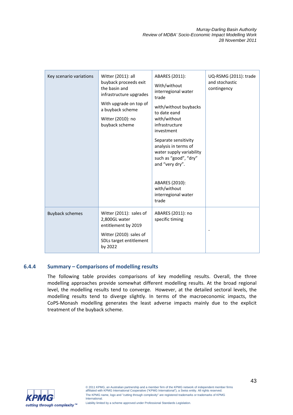| Key scenario variations | Witter (2011): all<br>buyback proceeds exit<br>the basin and<br>infrastructure upgrades<br>With upgrade on top of<br>a buyback scheme<br>Witter (2010): no<br>buyback scheme | ABARES (2011):<br>With/without<br>interregional water<br>trade<br>with/without buybacks<br>to date eand<br>with/without<br>infrastructure<br>investment<br>Separate sensitivity<br>analysis in terms of<br>water supply variability<br>such as "good", "dry"<br>and "very dry".<br>ABARES (2010):<br>with/without<br>interregional water<br>trade | UQ-RSMG (2011): trade<br>and stochastic<br>contingency |
|-------------------------|------------------------------------------------------------------------------------------------------------------------------------------------------------------------------|---------------------------------------------------------------------------------------------------------------------------------------------------------------------------------------------------------------------------------------------------------------------------------------------------------------------------------------------------|--------------------------------------------------------|
| <b>Buyback schemes</b>  | Witter (2011): sales of<br>2,800GL water<br>entitlement by 2019<br>Witter (2010): sales of<br>SDLs target entitlement<br>by 2022                                             | ABARES (2011): no<br>specific timing                                                                                                                                                                                                                                                                                                              |                                                        |

#### **6.4.4 Summary – Comparisons of modelling results**

The following table provides comparisons of key modelling results. Overall, the three modelling approaches provide somewhat different modelling results. At the broad regional level, the modelling results tend to converge. However, at the detailed sectoral levels, the modelling results tend to diverge slightly. In terms of the macroeconomic impacts, the CoPS-Monash modelling generates the least adverse impacts mainly due to the explicit treatment of the buyback scheme.

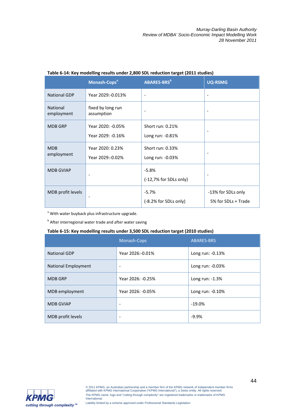|                               | Monash-Cops <sup>ª</sup>               | ABARES-BRS <sup>b</sup>              | <b>UQ-RSMG</b>                            |
|-------------------------------|----------------------------------------|--------------------------------------|-------------------------------------------|
| <b>National GDP</b>           | Year 2029:-0.013%                      | $\overline{\phantom{a}}$             | $\overline{\phantom{a}}$                  |
| <b>National</b><br>employment | fixed by long run<br>assumption        | $\overline{\phantom{a}}$             | $\overline{\phantom{a}}$                  |
| <b>MDB GRP</b>                | Year 2020: -0.05%<br>Year 2029: -0.16% | Short run: 0.21%<br>Long run: -0.81% |                                           |
| <b>MDB</b><br>employment      | Year 2020: 0.23%<br>Year 2029:-0.02%   | Short run: 0.33%<br>Long run: -0.03% | $\overline{\phantom{a}}$                  |
| <b>MDB GVIAP</b>              |                                        | $-5.8%$<br>(-12,7% for SDLs only)    |                                           |
| MDB profit levels             | ٠                                      | $-5.7%$<br>(-8.2% for SDLs only)     | -13% for SDLs only<br>5% for SDLs + Trade |

#### **Table 6-14: Key modelling results under 2,800 SDL reduction target (2011 studies)**

<sup>a</sup> With water buyback plus infrastructure upgrade.

**b** After interregional water trade and after water saving

### **Table 6-15: Key modelling results under 3,500 SDL reduction target (2010 studies)**

|                            | Monash-Cops              | <b>ABARES-BRS</b> |
|----------------------------|--------------------------|-------------------|
| <b>National GDP</b>        | Year 2026:-0.01%         | Long run: -0.13%  |
| <b>National Employment</b> | ۰                        | Long run: -0.03%  |
| <b>MDB GRP</b>             | Year 2026: -0.25%        | Long run: -1.3%   |
| MDB employment             | Year 2026: -0.05%        | Long run: -0.10%  |
| <b>MDB GVIAP</b>           | -                        | $-19.0%$          |
| MDB profit levels          | $\overline{\phantom{0}}$ | $-9.9%$           |

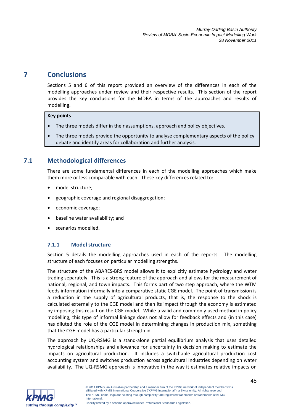# **7 Conclusions**

Sections 5 and 6 of this report provided an overview of the differences in each of the modelling approaches under review and their respective results. This section of the report provides the key conclusions for the MDBA in terms of the approaches and results of modelling.

#### **Key points**

- The three models differ in their assumptions, approach and policy objectives.
- The three models provide the opportunity to analyse complementary aspects of the policy debate and identify areas for collaboration and further analysis.

# **7.1 Methodological differences**

There are some fundamental differences in each of the modelling approaches which make them more or less comparable with each. These key differences related to:

- model structure:
- geographic coverage and regional disaggregation;
- economic coverage;
- baseline water availability; and
- scenarios modelled.

# **7.1.1 Model structure**

Section 5 details the modelling approaches used in each of the reports. The modelling structure of each focuses on particular modelling strengths.

The structure of the ABARES-BRS model allows it to explicitly estimate hydrology and water trading separately. This is a strong feature of the approach and allows for the measurement of national, regional, and town impacts. This forms part of two step approach, where the WTM feeds information informally into a comparative static CGE model. The point of transmission is a reduction in the supply of agricultural products, that is, the response to the shock is calculated externally to the CGE model and then its impact through the economy is estimated by imposing this result on the CGE model. While a valid and commonly used method in policy modelling, this type of informal linkage does not allow for feedback effects and (in this case) has diluted the role of the CGE model in determining changes in production mix, something that the CGE model has a particular strength in.

The approach by UQ-RSMG is a stand-alone partial equilibrium analysis that uses detailed hydrological relationships and allowance for uncertainty in decision making to estimate the impacts on agricultural production. It includes a switchable agricultural production cost accounting system and switches production across agricultural industries depending on water availability. The UQ-RSMG approach is innovative in the way it estimates relative impacts on

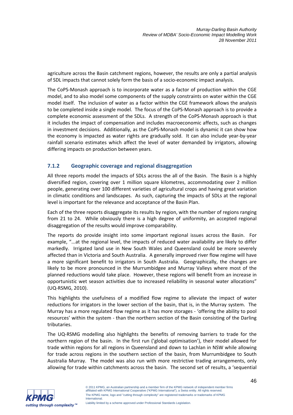agriculture across the Basin catchment regions, however, the results are only a partial analysis of SDL impacts that cannot solely form the basis of a socio-economic impact analysis.

The CoPS-Monash approach is to incorporate water as a factor of production within the CGE model, and to also model some components of the supply constraints on water within the CGE model itself. The inclusion of water as a factor within the CGE framework allows the analysis to be completed inside a single model. The focus of the CoPS-Monash approach is to provide a complete economic assessment of the SDLs. A strength of the CoPS-Monash approach is that it includes the impact of compensation and includes macroeconomic affects, such as changes in investment decisions. Additionally, as the CoPS-Monash model is dynamic it can show how the economy is impacted as water rights are gradually sold. It can also include year-by-year rainfall scenario estimates which affect the level of water demanded by irrigators, allowing differing impacts on production between years.

# **7.1.2 Geographic coverage and regional disaggregation**

All three reports model the impacts of SDLs across the all of the Basin. The Basin is a highly diversified region, covering over 1 million square kilometres, accommodating over 2 million people, generating over 100 different varieties of agricultural crops and having great variation in climatic conditions and landscapes. As such, capturing the impacts of SDLs at the regional level is important for the relevance and acceptance of the Basin Plan.

Each of the three reports disaggregate its results by region, with the number of regions ranging from 21 to 24. While obviously there is a high degree of uniformity, an accepted regional disaggregation of the results would improve comparability.

The reports do provide insight into some important regional issues across the Basin. For example, "...at the regional level, the impacts of reduced water availability are likely to differ markedly. Irrigated land use in New South Wales and Queensland could be more severely affected than in Victoria and South Australia. A generally improved river flow regime will have a more significant benefit to irrigators in South Australia. Geographically, the changes are likely to be more pronounced in the Murrumbidgee and Murray Valleys where most of the planned reductions would take place. However, these regions will benefit from an increase in opportunistic wet season activities due to increased reliability in seasonal water allocations" (UQ-RSMG, 2010).

This highlights the usefulness of a modified flow regime to alleviate the impact of water reductions for irrigators in the lower section of the basin, that is, in the Murray system. The Murray has a more regulated flow regime as it has more storages - 'offering the ability to pool resources' within the system - than the northern section of the Basin consisting of the Darling tributaries.

The UQ-RSMG modelling also highlights the benefits of removing barriers to trade for the northern region of the basin. In the first run ('global optimisation'), their model allowed for trade within regions for all regions in Queensland and down to Lachlan in NSW while allowing for trade across regions in the southern section of the basin, from Murrumbidgee to South Australia Murray. The model was also run with more restrictive trading arrangements, only allowing for trade within catchments across the basin. The second set of results, a 'sequential

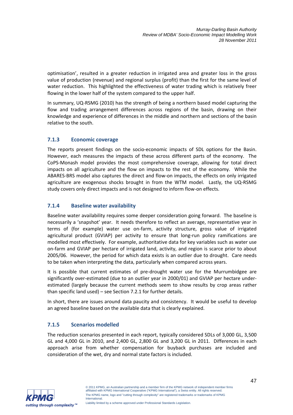optimisation', resulted in a greater reduction in irrigated area and greater loss in the gross value of production (revenue) and regional surplus (profit) than the first for the same level of water reduction. This highlighted the effectiveness of water trading which is relatively freer flowing in the lower half of the system compared to the upper half.

In summary, UQ-RSMG (2010) has the strength of being a northern based model capturing the flow and trading arrangement differences across regions of the basin, drawing on their knowledge and experience of differences in the middle and northern and sections of the basin relative to the south.

# **7.1.3 Economic coverage**

The reports present findings on the socio-economic impacts of SDL options for the Basin. However, each measures the impacts of these across different parts of the economy. The CoPS-Monash model provides the most comprehensive coverage, allowing for total direct impacts on all agriculture and the flow on impacts to the rest of the economy. While the ABARES-BRS model also captures the direct and flow-on impacts, the effects on only irrigated agriculture are exogenous shocks brought in from the WTM model. Lastly, the UQ-RSMG study covers only direct impacts and is not designed to inform flow-on effects.

# **7.1.4 Baseline water availability**

Baseline water availability requires some deeper consideration going forward. The baseline is necessarily a 'snapshot' year. It needs therefore to reflect an average, representative year in terms of (for example) water use on-farm, activity structure, gross value of irrigated agricultural product (GVIAP) per activity to ensure that long-run policy ramifications are modelled most effectively. For example, authoritative data for key variables such as water use on-farm and GVIAP per hectare of irrigated land, activity, and region is scarce prior to about 2005/06. However, the period for which data exists is an outlier due to drought. Care needs to be taken when interpreting the data, particularly when compared across years.

It is possible that current estimates of pre-drought water use for the Murrumbidgee are significantly over-estimated (due to an outlier year in 2000/01) and GVIAP per hectare underestimated (largely because the current methods seem to show results by crop areas rather than specific land used) – see Section 7.2.1 for further details.

In short, there are issues around data paucity and consistency. It would be useful to develop an agreed baseline based on the available data that is clearly explained.

# **7.1.5 Scenarios modelled**

The reduction scenarios presented in each report, typically considered SDLs of 3,000 GL, 3,500 GL and 4,000 GL in 2010, and 2,400 GL, 2,800 GL and 3,200 GL in 2011. Differences in each approach arise from whether compensation for buyback purchases are included and consideration of the wet, dry and normal state factors is included.

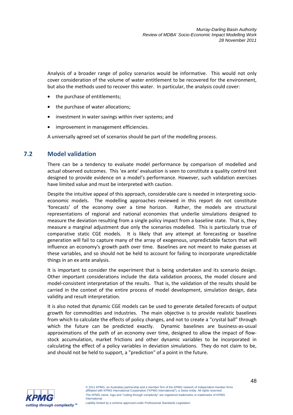Analysis of a broader range of policy scenarios would be informative. This would not only cover consideration of the volume of water entitlement to be recovered for the environment, but also the methods used to recover this water. In particular, the analysis could cover:

- the purchase of entitlements;
- the purchase of water allocations;
- investment in water savings within river systems; and
- improvement in management efficiencies.

A universally agreed set of scenarios should be part of the modelling process.

# **7.2 Model validation**

There can be a tendency to evaluate model performance by comparison of modelled and actual observed outcomes. This 'ex ante' evaluation is seen to constitute a quality control test designed to provide evidence on a model's performance. However, such validation exercises have limited value and must be interpreted with caution.

Despite the intuitive appeal of this approach, considerable care is needed in interpreting socioeconomic models. The modelling approaches reviewed in this report do not constitute 'forecasts' of the economy over a time horizon. Rather, the models are structural representations of regional and national economies that underlie simulations designed to measure the deviation resulting from a single policy impact from a baseline state. That is, they measure a marginal adjustment due only the scenarios modelled. This is particularly true of comparative static CGE models. It is likely that any attempt at forecasting or baseline generation will fail to capture many of the array of exogenous, unpredictable factors that will influence an economy's growth path over time. Baselines are not meant to make guesses at these variables, and so should not be held to account for failing to incorporate unpredictable things in an ex ante analysis.

It is important to consider the experiment that is being undertaken and its scenario design. Other important considerations include the data validation process, the model closure and model-consistent interpretation of the results. That is, the validation of the results should be carried in the context of the entire process of model development, simulation design, data validity and result interpretation.

It is also noted that dynamic CGE models can be used to generate detailed forecasts of output growth for commodities and industries. The main objective is to provide realistic baselines from which to calculate the effects of policy changes, and not to create a "crystal ball" through which the future can be predicted exactly. Dynamic baselines are business-as-usual approximations of the path of an economy over time, designed to allow the impact of flowstock accumulation, market frictions and other dynamic variables to be incorporated in calculating the effect of a policy variables in deviation simulations. They do not claim to be, and should not be held to support, a "prediction" of a point in the future.

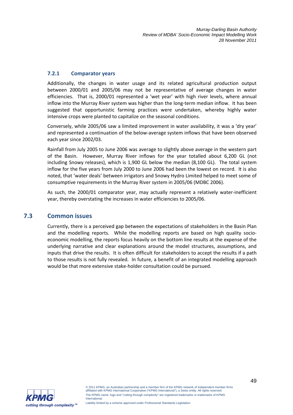### **7.2.1 Comparator years**

Additionally, the changes in water usage and its related agricultural production output between 2000/01 and 2005/06 may not be representative of average changes in water efficiencies. That is, 2000/01 represented a 'wet year' with high river levels, where annual inflow into the Murray River system was higher than the long-term median inflow. It has been suggested that opportunistic farming practices were undertaken, whereby highly water intensive crops were planted to capitalize on the seasonal conditions.

Conversely, while 2005/06 saw a limited improvement in water availability, it was a 'dry year' and represented a continuation of the below-average system inflows that have been observed each year since 2002/03.

Rainfall from July 2005 to June 2006 was average to slightly above average in the western part of the Basin. However, Murray River inflows for the year totalled about 6,200 GL (not including Snowy releases), which is 1,900 GL below the median (8,100 GL). The total system inflow for the five years from July 2000 to June 2006 had been the lowest on record. It is also noted, that 'water deals' between irrigators and Snowy Hydro Limited helped to meet some of consumptive requirements in the Murray River system in 2005/06 (MDBC 2006).

As such, the 2000/01 comparator year, may actually represent a relatively water-inefficient year, thereby overstating the increases in water efficiencies to 2005/06.

# **7.3 Common issues**

Currently, there is a perceived gap between the expectations of stakeholders in the Basin Plan and the modelling reports. While the modelling reports are based on high quality socioeconomic modelling, the reports focus heavily on the bottom line results at the expense of the underlying narrative and clear explanations around the model structures, assumptions, and inputs that drive the results. It is often difficult for stakeholders to accept the results if a path to those results is not fully revealed. In future, a benefit of an integrated modelling approach would be that more extensive stake-holder consultation could be pursued.

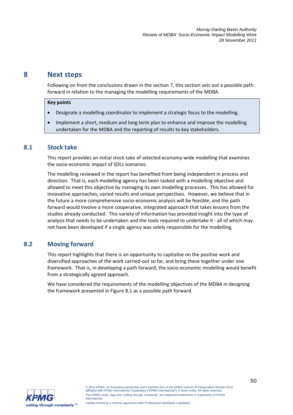# **8 Next steps**

Following on from the conclusions drawn in the section 7, this section sets out a possible path forward in relation to the managing the modelling requirements of the MDBA.

#### **Key points**

- Designate a modelling coordinator to implement a strategic focus to the modelling.
- Implement a short, medium and long term plan to enhance and improve the modelling undertaken for the MDBA and the reporting of results to key stakeholders.

# **8.1 Stock take**

This report provides an initial stock take of selected economy-wide modelling that examines the socio-economic impact of SDLs scenarios.

The modelling reviewed in the report has benefited from being independent in process and direction. That is, each modelling agency has been tasked with a modelling objective and allowed to meet this objective by managing its own modelling processes. This has allowed for innovative approaches, varied results and unique perspectives. However, we believe that in the future a more comprehensive socio-economic analysis will be feasible, and the path forward would involve a more cooperative, integrated approach that takes lessons from the studies already conducted. This variety of information has provided insight into the type of analysis that needs to be undertaken and the tools required to undertake it - all of which may not have been developed if a single agency was solely responsible for the modelling.

# **8.2 Moving forward**

This report highlights that there is an opportunity to capitalise on the positive work and diversified approaches of the work carried-out so far, and bring these together under one framework. That is, in developing a path forward, the socio-economic modelling would benefit from a strategically agreed approach.

We have considered the requirements of the modelling objectives of the MDBA in designing the framework presented in Figure 8.1 as a possible path forward.

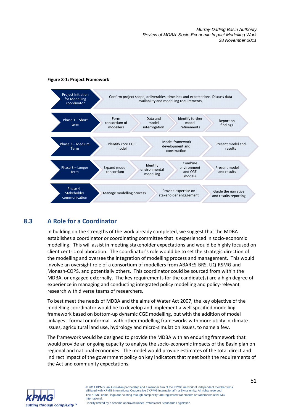

#### **Figure 8-1: Project Framework**

# **8.3 A Role for a Coordinator**

In building on the strengths of the work already completed, we suggest that the MDBA establishes a coordinator or coordinating committee that is experienced in socio-economic modelling. This will assist in meeting stakeholder expectations and would be highly focused on client centric collaboration. The coordinator's role would be to set the strategic direction of the modelling and oversee the integration of modelling process and management. This would involve an oversight role of a consortium of modellers from ABARES-BRS, UQ-RSMG and Monash-COPS, and potentially others. This coordinator could be sourced from within the MDBA, or engaged externally. The key requirements for the candidate(s) are a high degree of experience in managing and conducting integrated policy modelling and policy-relevant research with diverse teams of researchers.

To best meet the needs of MDBA and the aims of Water Act 2007, the key objective of the modelling coordinator would be to develop and implement a well specified modelling framework based on bottom-up dynamic CGE modelling, but with the addition of model linkages - formal or informal - with other modelling frameworks with more utility in climate issues, agricultural land use, hydrology and micro-simulation issues, to name a few.

The framework would be designed to provide the MDBA with an enduring framework that would provide an ongoing capacity to analyse the socio-economic impacts of the Basin plan on regional and national economies. The model would provide estimates of the total direct and indirect impact of the government policy on key indicators that meet both the requirements of the Act and community expectations.



© 2011 KPMG, an Australian partnership and a member firm of the KPMG network of independent member firms affiliated with KPMG International Cooperative ("KPMG International"), a Swiss entity. All rights reserved. The KPMG name, logo and "cutting through complexity" are registered trademarks or trademarks of KPMG International.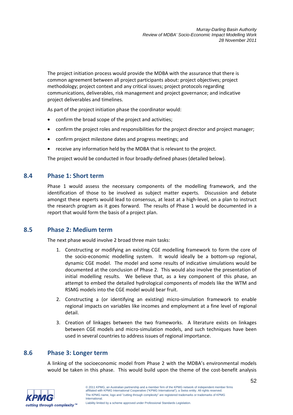The project initiation process would provide the MDBA with the assurance that there is common agreement between all project participants about: project objectives; project methodology; project context and any critical issues; project protocols regarding communications, deliverables, risk management and project governance; and indicative project deliverables and timelines.

As part of the project initiation phase the coordinator would:

- confirm the broad scope of the project and activities;
- confirm the project roles and responsibilities for the project director and project manager;
- confirm project milestone dates and progress meetings; and
- receive any information held by the MDBA that is relevant to the project.

The project would be conducted in four broadly-defined phases (detailed below).

# **8.4 Phase 1: Short term**

Phase 1 would assess the necessary components of the modelling framework, and the identification of those to be involved as subject matter experts. Discussion and debate amongst these experts would lead to consensus, at least at a high-level, on a plan to instruct the research program as it goes forward. The results of Phase 1 would be documented in a report that would form the basis of a project plan.

# **8.5 Phase 2: Medium term**

The next phase would involve 2 broad three main tasks:

- 1. Constructing or modifying an existing CGE modelling framework to form the core of the socio-economic modelling system. It would ideally be a bottom-up regional, dynamic CGE model. The model and some results of indicative simulations would be documented at the conclusion of Phase 2. This would also involve the presentation of initial modelling results. We believe that, as a key component of this phase, an attempt to embed the detailed hydrological components of models like the WTM and RSMG models into the CGE model would bear fruit.
- 2. Constructing a (or identifying an existing) micro-simulation framework to enable regional impacts on variables like incomes and employment at a fine level of regional detail.
- 3. Creation of linkages between the two frameworks. A literature exists on linkages between CGE models and micro-simulation models, and such techniques have been used in several countries to address issues of regional importance.

# **8.6 Phase 3: Longer term**

A linking of the socioeconomic model from Phase 2 with the MDBA's environmental models would be taken in this phase. This would build upon the theme of the cost-benefit analysis

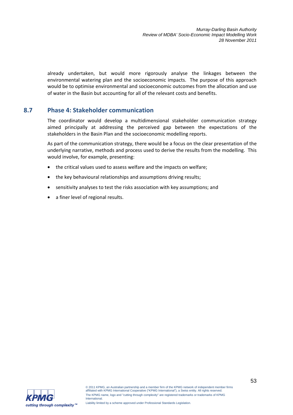already undertaken, but would more rigorously analyse the linkages between the environmental watering plan and the socioeconomic impacts. The purpose of this approach would be to optimise environmental and socioeconomic outcomes from the allocation and use of water in the Basin but accounting for all of the relevant costs and benefits.

# **8.7 Phase 4: Stakeholder communication**

The coordinator would develop a multidimensional stakeholder communication strategy aimed principally at addressing the perceived gap between the expectations of the stakeholders in the Basin Plan and the socioeconomic modelling reports.

As part of the communication strategy, there would be a focus on the clear presentation of the underlying narrative, methods and process used to derive the results from the modelling. This would involve, for example, presenting:

- the critical values used to assess welfare and the impacts on welfare;
- the key behavioural relationships and assumptions driving results;
- sensitivity analyses to test the risks association with key assumptions; and
- a finer level of regional results.